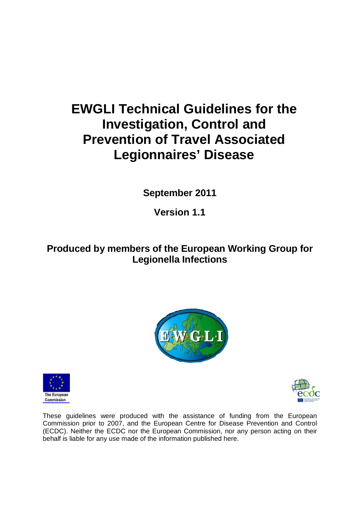# **EWGLI Technical Guidelines for the Investigation, Control and Prevention of Travel Associated Legionnaires' Disease**

**September 2011**

**Version 1.1**

### **Produced by members of the European Working Group for Legionella Infections**







These guidelines were produced with the assistance of funding from the European Commission prior to 2007, and the European Centre for Disease Prevention and Control (ECDC). Neither the ECDC nor the European Commission, nor any person acting on their behalf is liable for any use made of the information published here.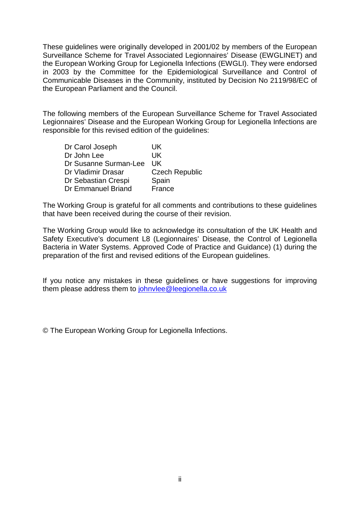These guidelines were originally developed in 2001/02 by members of the European Surveillance Scheme for Travel Associated Legionnaires' Disease (EWGLINET) and the European Working Group for Legionella Infections (EWGLI). They were endorsed in 2003 by the Committee for the Epidemiological Surveillance and Control of Communicable Diseases in the Community, instituted by Decision No 2119/98/EC of the European Parliament and the Council.

The following members of the European Surveillance Scheme for Travel Associated Legionnaires' Disease and the European Working Group for Legionella Infections are responsible for this revised edition of the guidelines:

| Dr Carol Joseph           | UK                    |
|---------------------------|-----------------------|
| Dr John Lee               | UK                    |
| Dr Susanne Surman-Lee     | UK                    |
| Dr Vladimir Drasar        | <b>Czech Republic</b> |
| Dr Sebastian Crespi       | Spain                 |
| <b>Dr Emmanuel Briand</b> | France                |

The Working Group is grateful for all comments and contributions to these guidelines that have been received during the course of their revision.

The Working Group would like to acknowledge its consultation of the UK Health and Safety Executive's document L8 (Legionnaires' Disease, the Control of Legionella Bacteria in Water Systems. Approved Code of Practice and Guidance) (1) during the preparation of the first and revised editions of the European guidelines.

If you notice any mistakes in these guidelines or have suggestions for improving them please address them to [johnvlee@leegionella.co.uk](mailto:johnvlee@leegionella.co.uk) 

© The European Working Group for Legionella Infections.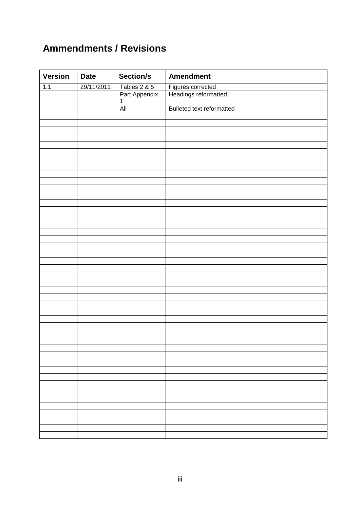## **Ammendments / Revisions**

| <b>Version</b> | <b>Date</b> | Section/s                     | <b>Amendment</b>                          |
|----------------|-------------|-------------------------------|-------------------------------------------|
| 1.1            | 29/11/2011  |                               |                                           |
|                |             | Tables 2 & 5<br>Part Appendix | Figures corrected<br>Headings reformatted |
|                |             | $\mathbf{1}$<br>All           | Bulleted text reformatted                 |
|                |             |                               |                                           |
|                |             |                               |                                           |
|                |             |                               |                                           |
|                |             |                               |                                           |
|                |             |                               |                                           |
|                |             |                               |                                           |
|                |             |                               |                                           |
|                |             |                               |                                           |
|                |             |                               |                                           |
|                |             |                               |                                           |
|                |             |                               |                                           |
|                |             |                               |                                           |
|                |             |                               |                                           |
|                |             |                               |                                           |
|                |             |                               |                                           |
|                |             |                               |                                           |
|                |             |                               |                                           |
|                |             |                               |                                           |
|                |             |                               |                                           |
|                |             |                               |                                           |
|                |             |                               |                                           |
|                |             |                               |                                           |
|                |             |                               |                                           |
|                |             |                               |                                           |
|                |             |                               |                                           |
|                |             |                               |                                           |
|                |             |                               |                                           |
|                |             |                               |                                           |
|                |             |                               |                                           |
|                |             |                               |                                           |
|                |             |                               |                                           |
|                |             |                               |                                           |
|                |             |                               |                                           |
|                |             |                               |                                           |
|                |             |                               |                                           |
|                |             |                               |                                           |
|                |             |                               |                                           |
|                |             |                               |                                           |
|                |             |                               |                                           |
|                |             |                               |                                           |
|                |             |                               |                                           |
|                |             |                               |                                           |
|                |             |                               |                                           |
|                |             |                               |                                           |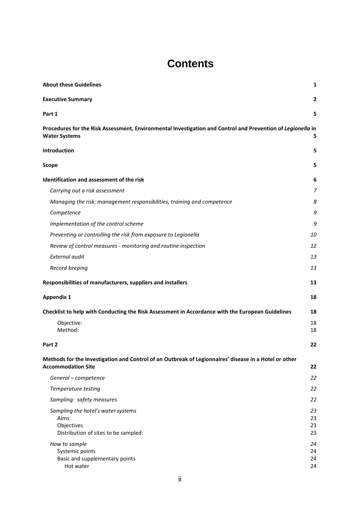## **Contents**

| <b>About these Guidelines</b>                                                                                                       | 1              |
|-------------------------------------------------------------------------------------------------------------------------------------|----------------|
| <b>Executive Summary</b>                                                                                                            | 2              |
| Part 1                                                                                                                              | 5              |
| Procedures for the Risk Assessment, Environmental Investigation and Control and Prevention of Legionella in<br><b>Water Systems</b> | 5              |
| Introduction                                                                                                                        | 5              |
| <b>Scope</b>                                                                                                                        | 5              |
| Identification and assessment of the risk                                                                                           | 6              |
| Carrying out a risk assessment                                                                                                      | $\overline{7}$ |
| Managing the risk: management responsibilities, training and competence                                                             | 8              |
| Competence                                                                                                                          | 9              |
| Implementation of the control scheme                                                                                                | 9              |
| Preventing or controlling the risk from exposure to Legionella                                                                      | 10             |
| Review of control measures - monitoring and routine inspection                                                                      | 12             |
| External audit                                                                                                                      | 13             |
| Record keeping                                                                                                                      | 13             |
| Responsibilities of manufacturers, suppliers and installers                                                                         | 13             |
| <b>Appendix 1</b>                                                                                                                   | 18             |
| Checklist to help with Conducting the Risk Assessment in Accordance with the European Guidelines                                    | 18             |
| Objective:                                                                                                                          | 18             |
| Method:                                                                                                                             | 18             |
| Part 2                                                                                                                              | 22             |
| Methods for the Investigation and Control of an Outbreak of Legionnaires' disease in a Hotel or other                               |                |
| <b>Accommodation Site</b>                                                                                                           | 22             |
| General - competence                                                                                                                | 22             |
| Temperature testing                                                                                                                 | 22             |
| Sampling: safety measures                                                                                                           | 22             |
| Sampling the hotel's water systems                                                                                                  | 23             |
| Aims<br>Objectives                                                                                                                  | 23<br>23       |
| Distribution of sites to be sampled:                                                                                                | 23             |
| How to sample                                                                                                                       | 24             |
| Systemic points                                                                                                                     | 24             |
| Basic and supplementary points                                                                                                      | 24             |
| Hot water                                                                                                                           | 24             |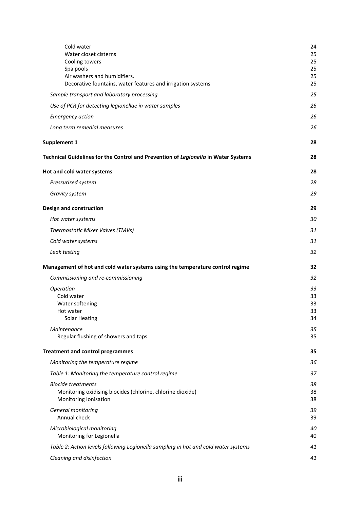| Cold water<br>Water closet cisterns<br>Cooling towers<br>Spa pools<br>Air washers and humidifiers.<br>Decorative fountains, water features and irrigation systems | 24<br>25<br>25<br>25<br>25<br>25 |
|-------------------------------------------------------------------------------------------------------------------------------------------------------------------|----------------------------------|
| Sample transport and laboratory processing                                                                                                                        | 25                               |
| Use of PCR for detecting legionellae in water samples                                                                                                             | 26                               |
| <b>Emergency action</b>                                                                                                                                           | 26                               |
| Long term remedial measures                                                                                                                                       | 26                               |
| <b>Supplement 1</b>                                                                                                                                               | 28                               |
| Technical Guidelines for the Control and Prevention of Legionella in Water Systems                                                                                | 28                               |
| Hot and cold water systems                                                                                                                                        | 28                               |
| Pressurised system                                                                                                                                                | 28                               |
| Gravity system                                                                                                                                                    | 29                               |
| Design and construction                                                                                                                                           | 29                               |
| Hot water systems                                                                                                                                                 | 30                               |
| Thermostatic Mixer Valves (TMVs)                                                                                                                                  | 31                               |
| Cold water systems                                                                                                                                                | 31                               |
| Leak testing                                                                                                                                                      | 32                               |
| Management of hot and cold water systems using the temperature control regime                                                                                     | 32                               |
| Commissioning and re-commissioning                                                                                                                                | 32                               |
| Operation<br>Cold water<br>Water softening<br>Hot water<br><b>Solar Heating</b>                                                                                   | 33<br>33<br>33<br>33<br>34       |
| Maintenance<br>Regular flushing of showers and taps                                                                                                               | 35<br>35                         |
| <b>Treatment and control programmes</b>                                                                                                                           | 35                               |
| Monitoring the temperature regime                                                                                                                                 | 36                               |
| Table 1: Monitoring the temperature control regime                                                                                                                | 37                               |
| <b>Biocide treatments</b><br>Monitoring oxidising biocides (chlorine, chlorine dioxide)<br>Monitoring ionisation                                                  | 38<br>38<br>38                   |
| General monitoring<br>Annual check                                                                                                                                | 39<br>39                         |
| Microbiological monitoring<br>Monitoring for Legionella                                                                                                           | 40<br>40                         |
| Table 2: Action levels following Legionella sampling in hot and cold water systems                                                                                | 41                               |
| Cleaning and disinfection                                                                                                                                         | 41                               |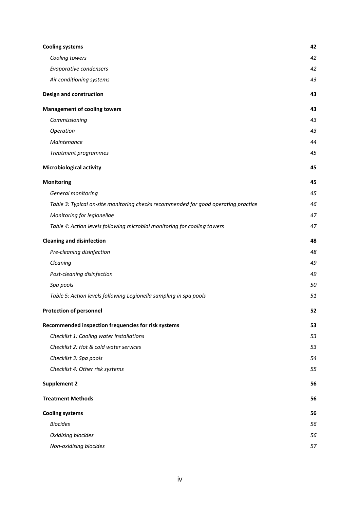| <b>Cooling systems</b>                                                             | 42 |
|------------------------------------------------------------------------------------|----|
| Cooling towers                                                                     | 42 |
| Evaporative condensers                                                             | 42 |
| Air conditioning systems                                                           | 43 |
| <b>Design and construction</b>                                                     | 43 |
| <b>Management of cooling towers</b>                                                | 43 |
| Commissioning                                                                      | 43 |
| Operation                                                                          | 43 |
| Maintenance                                                                        | 44 |
| Treatment programmes                                                               | 45 |
| <b>Microbiological activity</b>                                                    | 45 |
| <b>Monitoring</b>                                                                  | 45 |
| General monitoring                                                                 | 45 |
| Table 3: Typical on-site monitoring checks recommended for good operating practice | 46 |
| Monitoring for legionellae                                                         | 47 |
| Table 4: Action levels following microbial monitoring for cooling towers           | 47 |
| <b>Cleaning and disinfection</b>                                                   | 48 |
| Pre-cleaning disinfection                                                          | 48 |
| Cleaning                                                                           | 49 |
| Post-cleaning disinfection                                                         | 49 |
| Spa pools                                                                          | 50 |
| Table 5: Action levels following Legionella sampling in spa pools                  | 51 |
| <b>Protection of personnel</b>                                                     | 52 |
| Recommended inspection frequencies for risk systems                                | 53 |
| Checklist 1: Cooling water installations                                           | 53 |
| Checklist 2: Hot & cold water services                                             | 53 |
| Checklist 3: Spa pools                                                             | 54 |
| Checklist 4: Other risk systems                                                    | 55 |
| <b>Supplement 2</b>                                                                | 56 |
| <b>Treatment Methods</b>                                                           | 56 |
| <b>Cooling systems</b>                                                             | 56 |
| <b>Biocides</b>                                                                    | 56 |
| Oxidising biocides                                                                 | 56 |
| Non-oxidising biocides                                                             | 57 |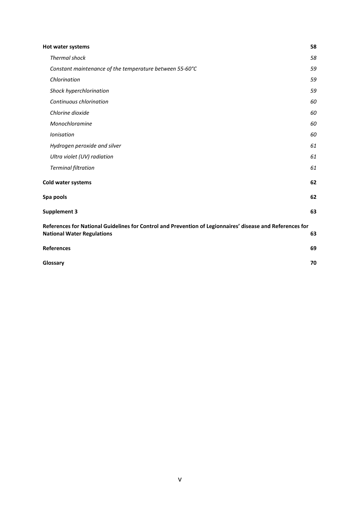| Hot water systems                                                                                                                              | 58 |
|------------------------------------------------------------------------------------------------------------------------------------------------|----|
| <b>Thermal shock</b>                                                                                                                           | 58 |
| Constant maintenance of the temperature between 55-60°C                                                                                        | 59 |
| Chlorination                                                                                                                                   | 59 |
| Shock hyperchlorination                                                                                                                        | 59 |
| Continuous chlorination                                                                                                                        | 60 |
| Chlorine dioxide                                                                                                                               | 60 |
| Monochloramine                                                                                                                                 | 60 |
| Ionisation                                                                                                                                     | 60 |
| Hydrogen peroxide and silver                                                                                                                   | 61 |
| Ultra violet (UV) radiation                                                                                                                    | 61 |
| <b>Terminal filtration</b>                                                                                                                     | 61 |
| Cold water systems                                                                                                                             | 62 |
| Spa pools                                                                                                                                      | 62 |
| <b>Supplement 3</b>                                                                                                                            | 63 |
| References for National Guidelines for Control and Prevention of Legionnaires' disease and References for<br><b>National Water Regulations</b> | 63 |
| <b>References</b>                                                                                                                              | 69 |
| Glossary                                                                                                                                       | 70 |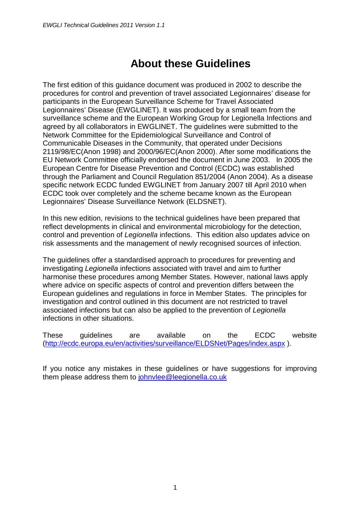## **About these Guidelines**

<span id="page-7-0"></span>The first edition of this guidance document was produced in 2002 to describe the procedures for control and prevention of travel associated Legionnaires' disease for participants in the European Surveillance Scheme for Travel Associated Legionnaires' Disease (EWGLINET). It was produced by a small team from the surveillance scheme and the European Working Group for Legionella Infections and agreed by all collaborators in EWGLINET. The guidelines were submitted to the Network Committee for the Epidemiological Surveillance and Control of Communicable Diseases in the Community, that operated under Decisions 2119/98/EC(Anon 1998) and 2000/96/EC(Anon 2000). After some modifications the EU Network Committee officially endorsed the document in June 2003. In 2005 the European Centre for Disease Prevention and Control (ECDC) was established through the Parliament and Council Regulation 851/2004 (Anon 2004). As a disease specific network ECDC funded EWGLINET from January 2007 till April 2010 when ECDC took over completely and the scheme became known as the European Legionnaires' Disease Surveillance Network (ELDSNET).

In this new edition, revisions to the technical guidelines have been prepared that reflect developments in clinical and environmental microbiology for the detection, control and prevention of *Legionella* infections. This edition also updates advice on risk assessments and the management of newly recognised sources of infection.

The guidelines offer a standardised approach to procedures for preventing and investigating *Legionella* infections associated with travel and aim to further harmonise these procedures among Member States. However, national laws apply where advice on specific aspects of control and prevention differs between the European guidelines and regulations in force in Member States. The principles for investigation and control outlined in this document are not restricted to travel associated infections but can also be applied to the prevention of *Legionella* infections in other situations.

These guidelines are available on the ECDC website [\(http://ecdc.europa.eu/en/activities/surveillance/ELDSNet/Pages/index.aspx](http://ecdc.europa.eu/en/activities/surveillance/ELDSNet/Pages/index.aspx) ).

If you notice any mistakes in these guidelines or have suggestions for improving them please address them to johnvlee@leegionella.co.uk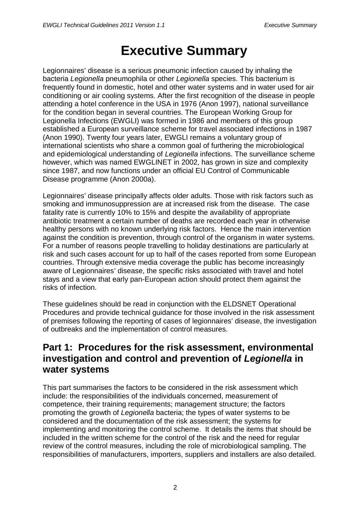# **Executive Summary**

<span id="page-8-0"></span>Legionnaires' disease is a serious pneumonic infection caused by inhaling the bacteria *Legionella* pneumophila or other *Legionella* species. This bacterium is frequently found in domestic, hotel and other water systems and in water used for air conditioning or air cooling systems. After the first recognition of the disease in people attending a hotel conference in the USA in 1976 (Anon 1997), national surveillance for the condition began in several countries. The European Working Group for Legionella Infections (EWGLI) was formed in 1986 and members of this group established a European surveillance scheme for travel associated infections in 1987 (Anon 1990). Twenty four years later, EWGLI remains a voluntary group of international scientists who share a common goal of furthering the microbiological and epidemiological understanding of *Legionella* infections. The surveillance scheme however, which was named EWGLINET in 2002, has grown in size and complexity since 1987, and now functions under an official EU Control of Communicable Disease programme (Anon 2000a).

Legionnaires' disease principally affects older adults. Those with risk factors such as smoking and immunosuppression are at increased risk from the disease. The case fatality rate is currently 10% to 15% and despite the availability of appropriate antibiotic treatment a certain number of deaths are recorded each year in otherwise healthy persons with no known underlying risk factors. Hence the main intervention against the condition is prevention, through control of the organism in water systems. For a number of reasons people travelling to holiday destinations are particularly at risk and such cases account for up to half of the cases reported from some European countries. Through extensive media coverage the public has become increasingly aware of Legionnaires' disease, the specific risks associated with travel and hotel stays and a view that early pan-European action should protect them against the risks of infection.

These guidelines should be read in conjunction with the ELDSNET Operational Procedures and provide technical guidance for those involved in the risk assessment of premises following the reporting of cases of legionnaires' disease, the investigation of outbreaks and the implementation of control measures.

### **Part 1: Procedures for the risk assessment, environmental investigation and control and prevention of** *Legionella* **in water systems**

This part summarises the factors to be considered in the risk assessment which include: the responsibilities of the individuals concerned, measurement of competence, their training requirements; management structure; the factors promoting the growth of *Legionella* bacteria; the types of water systems to be considered and the documentation of the risk assessment; the systems for implementing and monitoring the control scheme. It details the items that should be included in the written scheme for the control of the risk and the need for regular review of the control measures, including the role of microbiological sampling. The responsibilities of manufacturers, importers, suppliers and installers are also detailed.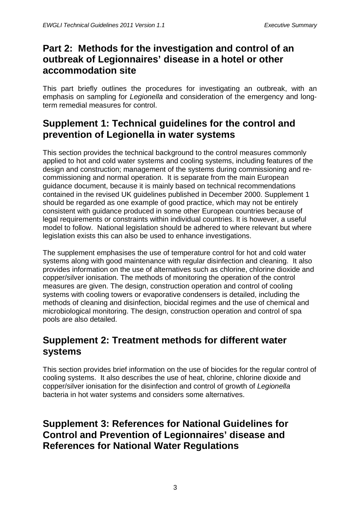### **Part 2: Methods for the investigation and control of an outbreak of Legionnaires' disease in a hotel or other accommodation site**

This part briefly outlines the procedures for investigating an outbreak, with an emphasis on sampling for *Legionella* and consideration of the emergency and longterm remedial measures for control.

### **Supplement 1: Technical guidelines for the control and prevention of Legionella in water systems**

This section provides the technical background to the control measures commonly applied to hot and cold water systems and cooling systems, including features of the design and construction; management of the systems during commissioning and recommissioning and normal operation. It is separate from the main European guidance document, because it is mainly based on technical recommendations contained in the revised UK guidelines published in December 2000. Supplement 1 should be regarded as one example of good practice, which may not be entirely consistent with guidance produced in some other European countries because of legal requirements or constraints within individual countries. It is however, a useful model to follow. National legislation should be adhered to where relevant but where legislation exists this can also be used to enhance investigations.

The supplement emphasises the use of temperature control for hot and cold water systems along with good maintenance with regular disinfection and cleaning. It also provides information on the use of alternatives such as chlorine, chlorine dioxide and copper/silver ionisation. The methods of monitoring the operation of the control measures are given. The design, construction operation and control of cooling systems with cooling towers or evaporative condensers is detailed, including the methods of cleaning and disinfection, biocidal regimes and the use of chemical and microbiological monitoring. The design, construction operation and control of spa pools are also detailed.

### **Supplement 2: Treatment methods for different water systems**

This section provides brief information on the use of biocides for the regular control of cooling systems. It also describes the use of heat, chlorine, chlorine dioxide and copper/silver ionisation for the disinfection and control of growth of *Legionella* bacteria in hot water systems and considers some alternatives.

### **Supplement 3: References for National Guidelines for Control and Prevention of Legionnaires' disease and References for National Water Regulations**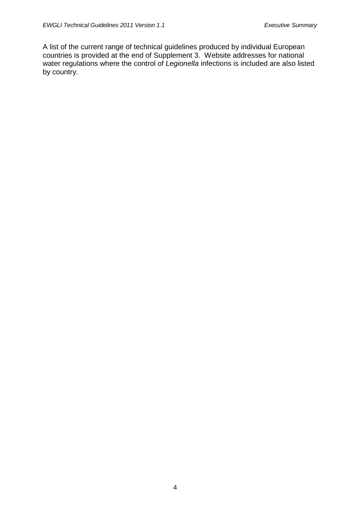A list of the current range of technical guidelines produced by individual European countries is provided at the end of Supplement 3. Website addresses for national water regulations where the control of *Legionella* infections is included are also listed by country.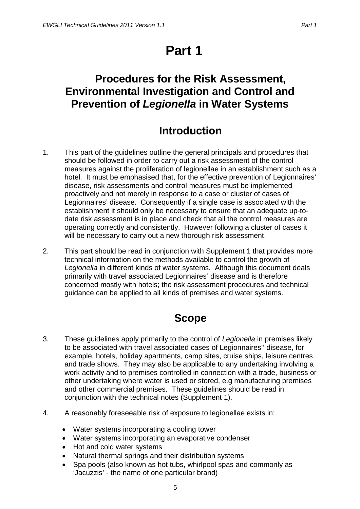# **Part 1**

## <span id="page-11-1"></span><span id="page-11-0"></span>**Procedures for the Risk Assessment, Environmental Investigation and Control and Prevention of** *Legionella* **in Water Systems**

## **Introduction**

- <span id="page-11-2"></span>1. This part of the guidelines outline the general principals and procedures that should be followed in order to carry out a risk assessment of the control measures against the proliferation of legionellae in an establishment such as a hotel. It must be emphasised that, for the effective prevention of Legionnaires' disease, risk assessments and control measures must be implemented proactively and not merely in response to a case or cluster of cases of Legionnaires' disease. Consequently if a single case is associated with the establishment it should only be necessary to ensure that an adequate up-todate risk assessment is in place and check that all the control measures are operating correctly and consistently. However following a cluster of cases it will be necessary to carry out a new thorough risk assessment.
- 2. This part should be read in conjunction with Supplement 1 that provides more technical information on the methods available to control the growth of *Legionella* in different kinds of water systems. Although this document deals primarily with travel associated Legionnaires' disease and is therefore concerned mostly with hotels; the risk assessment procedures and technical guidance can be applied to all kinds of premises and water systems.

## **Scope**

- <span id="page-11-3"></span>3. These guidelines apply primarily to the control of *Legionella* in premises likely to be associated with travel associated cases of Legionnaires'' disease, for example, hotels, holiday apartments, camp sites, cruise ships, leisure centres and trade shows. They may also be applicable to any undertaking involving a work activity and to premises controlled in connection with a trade, business or other undertaking where water is used or stored, e.g manufacturing premises and other commercial premises. These guidelines should be read in conjunction with the technical notes (Supplement 1).
- 4. A reasonably foreseeable risk of exposure to legionellae exists in:
	- Water systems incorporating a cooling tower
	- Water systems incorporating an evaporative condenser
	- Hot and cold water systems
	- Natural thermal springs and their distribution systems
	- Spa pools (also known as hot tubs, whirlpool spas and commonly as 'Jacuzzis' - the name of one particular brand)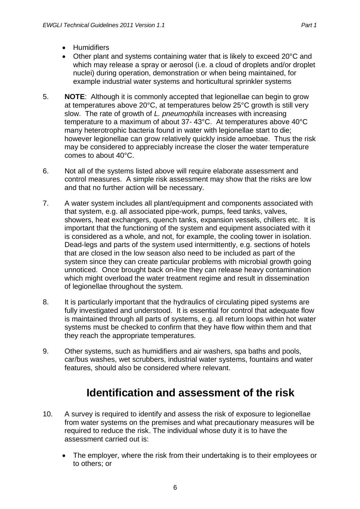- Humidifiers
- Other plant and systems containing water that is likely to exceed 20°C and which may release a spray or aerosol (i.e. a cloud of droplets and/or droplet nuclei) during operation, demonstration or when being maintained, for example industrial water systems and horticultural sprinkler systems
- 5. **NOTE**: Although it is commonly accepted that legionellae can begin to grow at temperatures above 20°C, at temperatures below 25°C growth is still very slow. The rate of growth of *L. pneumophila* increases with increasing temperature to a maximum of about 37- 43°C. At temperatures above 40°C many heterotrophic bacteria found in water with legionellae start to die; however legionellae can grow relatively quickly inside amoebae. Thus the risk may be considered to appreciably increase the closer the water temperature comes to about 40°C.
- 6. Not all of the systems listed above will require elaborate assessment and control measures. A simple risk assessment may show that the risks are low and that no further action will be necessary.
- 7. A water system includes all plant/equipment and components associated with that system, e.g. all associated pipe-work, pumps, feed tanks, valves, showers, heat exchangers, quench tanks, expansion vessels, chillers etc. It is important that the functioning of the system and equipment associated with it is considered as a whole, and not, for example, the cooling tower in isolation. Dead-legs and parts of the system used intermittently, e.g. sections of hotels that are closed in the low season also need to be included as part of the system since they can create particular problems with microbial growth going unnoticed. Once brought back on-line they can release heavy contamination which might overload the water treatment regime and result in dissemination of legionellae throughout the system.
- 8. It is particularly important that the hydraulics of circulating piped systems are fully investigated and understood. It is essential for control that adequate flow is maintained through all parts of systems, e.g. all return loops within hot water systems must be checked to confirm that they have flow within them and that they reach the appropriate temperatures.
- 9. Other systems, such as humidifiers and air washers, spa baths and pools, car/bus washes, wet scrubbers, industrial water systems, fountains and water features, should also be considered where relevant.

## **Identification and assessment of the risk**

- <span id="page-12-0"></span>10. A survey is required to identify and assess the risk of exposure to legionellae from water systems on the premises and what precautionary measures will be required to reduce the risk. The individual whose duty it is to have the assessment carried out is:
	- The employer, where the risk from their undertaking is to their employees or to others; or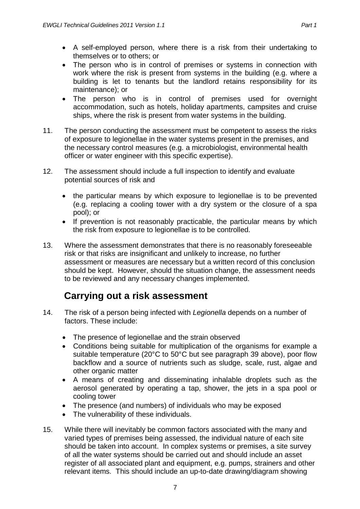- A self-employed person, where there is a risk from their undertaking to themselves or to others; or
- The person who is in control of premises or systems in connection with work where the risk is present from systems in the building (e.g. where a building is let to tenants but the landlord retains responsibility for its maintenance); or
- The person who is in control of premises used for overnight accommodation, such as hotels, holiday apartments, campsites and cruise ships, where the risk is present from water systems in the building.
- 11. The person conducting the assessment must be competent to assess the risks of exposure to legionellae in the water systems present in the premises, and the necessary control measures (e.g. a microbiologist, environmental health officer or water engineer with this specific expertise).
- 12. The assessment should include a full inspection to identify and evaluate potential sources of risk and
	- the particular means by which exposure to legionellae is to be prevented (e.g. replacing a cooling tower with a dry system or the closure of a spa pool); or
	- If prevention is not reasonably practicable, the particular means by which the risk from exposure to legionellae is to be controlled.
- 13. Where the assessment demonstrates that there is no reasonably foreseeable risk or that risks are insignificant and unlikely to increase, no further assessment or measures are necessary but a written record of this conclusion should be kept. However, should the situation change, the assessment needs to be reviewed and any necessary changes implemented.

### **Carrying out a risk assessment**

- <span id="page-13-0"></span>14. The risk of a person being infected with *Legionella* depends on a number of factors. These include:
	- The presence of legionellae and the strain observed
	- Conditions being suitable for multiplication of the organisms for example a suitable temperature (20°C to 50°C but see paragraph 39 above), poor flow backflow and a source of nutrients such as sludge, scale, rust, algae and other organic matter
	- A means of creating and disseminating inhalable droplets such as the aerosol generated by operating a tap, shower, the jets in a spa pool or cooling tower
	- The presence (and numbers) of individuals who may be exposed
	- The vulnerability of these individuals.
- 15. While there will inevitably be common factors associated with the many and varied types of premises being assessed, the individual nature of each site should be taken into account. In complex systems or premises, a site survey of all the water systems should be carried out and should include an asset register of all associated plant and equipment, e.g. pumps, strainers and other relevant items. This should include an up-to-date drawing/diagram showing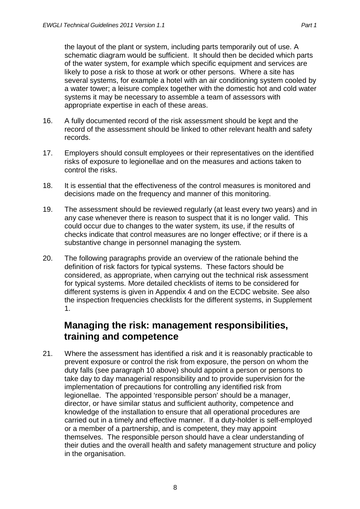the layout of the plant or system, including parts temporarily out of use. A schematic diagram would be sufficient. It should then be decided which parts of the water system, for example which specific equipment and services are likely to pose a risk to those at work or other persons. Where a site has several systems, for example a hotel with an air conditioning system cooled by a water tower; a leisure complex together with the domestic hot and cold water systems it may be necessary to assemble a team of assessors with appropriate expertise in each of these areas.

- 16. A fully documented record of the risk assessment should be kept and the record of the assessment should be linked to other relevant health and safety records.
- 17. Employers should consult employees or their representatives on the identified risks of exposure to legionellae and on the measures and actions taken to control the risks.
- 18. It is essential that the effectiveness of the control measures is monitored and decisions made on the frequency and manner of this monitoring.
- 19. The assessment should be reviewed regularly (at least every two years) and in any case whenever there is reason to suspect that it is no longer valid. This could occur due to changes to the water system, its use, if the results of checks indicate that control measures are no longer effective; or if there is a substantive change in personnel managing the system.
- 20. The following paragraphs provide an overview of the rationale behind the definition of risk factors for typical systems. These factors should be considered, as appropriate, when carrying out the technical risk assessment for typical systems. More detailed checklists of items to be considered for different systems is given in Appendix 4 and on the ECDC website. See also the inspection frequencies checklists for the different systems, in Supplement 1.

### <span id="page-14-0"></span>**Managing the risk: management responsibilities, training and competence**

21. Where the assessment has identified a risk and it is reasonably practicable to prevent exposure or control the risk from exposure, the person on whom the duty falls (see paragraph 10 above) should appoint a person or persons to take day to day managerial responsibility and to provide supervision for the implementation of precautions for controlling any identified risk from legionellae. The appointed 'responsible person' should be a manager, director, or have similar status and sufficient authority, competence and knowledge of the installation to ensure that all operational procedures are carried out in a timely and effective manner. If a duty-holder is self-employed or a member of a partnership, and is competent, they may appoint themselves. The responsible person should have a clear understanding of their duties and the overall health and safety management structure and policy in the organisation.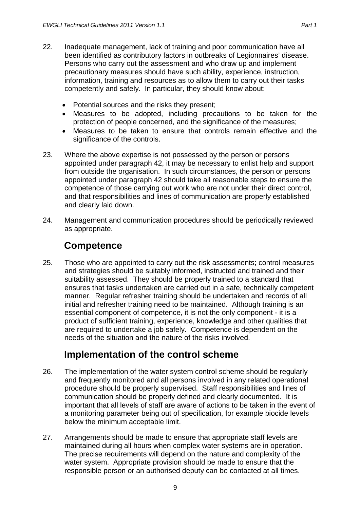- 22. Inadequate management, lack of training and poor communication have all been identified as contributory factors in outbreaks of Legionnaires' disease. Persons who carry out the assessment and who draw up and implement precautionary measures should have such ability, experience, instruction, information, training and resources as to allow them to carry out their tasks competently and safely. In particular, they should know about:
	- Potential sources and the risks they present;
	- Measures to be adopted, including precautions to be taken for the protection of people concerned, and the significance of the measures;
	- Measures to be taken to ensure that controls remain effective and the significance of the controls.
- 23. Where the above expertise is not possessed by the person or persons appointed under paragraph 42, it may be necessary to enlist help and support from outside the organisation. In such circumstances, the person or persons appointed under paragraph 42 should take all reasonable steps to ensure the competence of those carrying out work who are not under their direct control, and that responsibilities and lines of communication are properly established and clearly laid down.
- 24. Management and communication procedures should be periodically reviewed as appropriate.

#### **Competence**

<span id="page-15-0"></span>25. Those who are appointed to carry out the risk assessments; control measures and strategies should be suitably informed, instructed and trained and their suitability assessed. They should be properly trained to a standard that ensures that tasks undertaken are carried out in a safe, technically competent manner. Regular refresher training should be undertaken and records of all initial and refresher training need to be maintained. Although training is an essential component of competence, it is not the only component - it is a product of sufficient training, experience, knowledge and other qualities that are required to undertake a job safely. Competence is dependent on the needs of the situation and the nature of the risks involved.

### **Implementation of the control scheme**

- <span id="page-15-1"></span>26. The implementation of the water system control scheme should be regularly and frequently monitored and all persons involved in any related operational procedure should be properly supervised. Staff responsibilities and lines of communication should be properly defined and clearly documented. It is important that all levels of staff are aware of actions to be taken in the event of a monitoring parameter being out of specification, for example biocide levels below the minimum acceptable limit.
- 27. Arrangements should be made to ensure that appropriate staff levels are maintained during all hours when complex water systems are in operation. The precise requirements will depend on the nature and complexity of the water system. Appropriate provision should be made to ensure that the responsible person or an authorised deputy can be contacted at all times.

9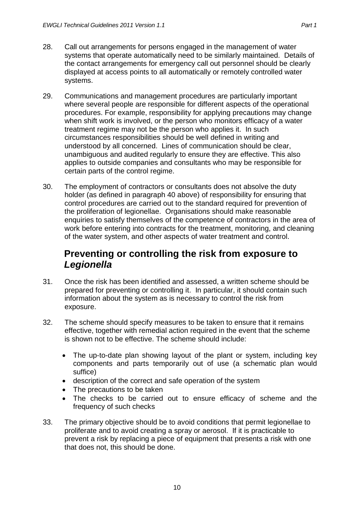- 
- 28. Call out arrangements for persons engaged in the management of water systems that operate automatically need to be similarly maintained. Details of the contact arrangements for emergency call out personnel should be clearly displayed at access points to all automatically or remotely controlled water systems.
- 29. Communications and management procedures are particularly important where several people are responsible for different aspects of the operational procedures. For example, responsibility for applying precautions may change when shift work is involved, or the person who monitors efficacy of a water treatment regime may not be the person who applies it. In such circumstances responsibilities should be well defined in writing and understood by all concerned. Lines of communication should be clear, unambiguous and audited regularly to ensure they are effective. This also applies to outside companies and consultants who may be responsible for certain parts of the control regime.
- 30. The employment of contractors or consultants does not absolve the duty holder (as defined in paragraph 40 above) of responsibility for ensuring that control procedures are carried out to the standard required for prevention of the proliferation of legionellae. Organisations should make reasonable enquiries to satisfy themselves of the competence of contractors in the area of work before entering into contracts for the treatment, monitoring, and cleaning of the water system, and other aspects of water treatment and control.

### <span id="page-16-0"></span>**Preventing or controlling the risk from exposure to**  *Legionella*

- 31. Once the risk has been identified and assessed, a written scheme should be prepared for preventing or controlling it. In particular, it should contain such information about the system as is necessary to control the risk from exposure.
- 32. The scheme should specify measures to be taken to ensure that it remains effective, together with remedial action required in the event that the scheme is shown not to be effective. The scheme should include:
	- The up-to-date plan showing layout of the plant or system, including key components and parts temporarily out of use (a schematic plan would suffice)
	- description of the correct and safe operation of the system
	- The precautions to be taken
	- The checks to be carried out to ensure efficacy of scheme and the frequency of such checks
- 33. The primary objective should be to avoid conditions that permit legionellae to proliferate and to avoid creating a spray or aerosol. If it is practicable to prevent a risk by replacing a piece of equipment that presents a risk with one that does not, this should be done.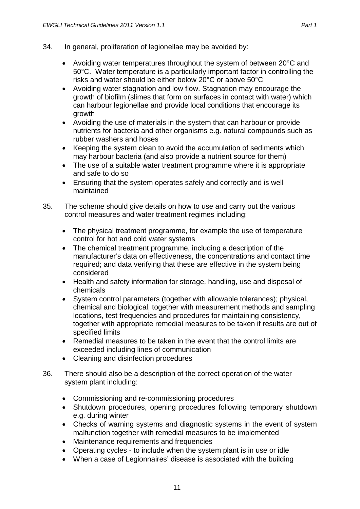- 34. In general, proliferation of legionellae may be avoided by:
	- Avoiding water temperatures throughout the system of between 20°C and 50°C. Water temperature is a particularly important factor in controlling the risks and water should be either below 20°C or above 50°C
	- Avoiding water stagnation and low flow. Stagnation may encourage the growth of biofilm (slimes that form on surfaces in contact with water) which can harbour legionellae and provide local conditions that encourage its growth
	- Avoiding the use of materials in the system that can harbour or provide nutrients for bacteria and other organisms e.g. natural compounds such as rubber washers and hoses
	- Keeping the system clean to avoid the accumulation of sediments which may harbour bacteria (and also provide a nutrient source for them)
	- The use of a suitable water treatment programme where it is appropriate and safe to do so
	- Ensuring that the system operates safely and correctly and is well maintained
- 35. The scheme should give details on how to use and carry out the various control measures and water treatment regimes including:
	- The physical treatment programme, for example the use of temperature control for hot and cold water systems
	- The chemical treatment programme, including a description of the manufacturer's data on effectiveness, the concentrations and contact time required; and data verifying that these are effective in the system being considered
	- Health and safety information for storage, handling, use and disposal of chemicals
	- System control parameters (together with allowable tolerances); physical, chemical and biological, together with measurement methods and sampling locations, test frequencies and procedures for maintaining consistency, together with appropriate remedial measures to be taken if results are out of specified limits
	- Remedial measures to be taken in the event that the control limits are exceeded including lines of communication
	- Cleaning and disinfection procedures
- 36. There should also be a description of the correct operation of the water system plant including:
	- Commissioning and re-commissioning procedures
	- Shutdown procedures, opening procedures following temporary shutdown e.g. during winter
	- Checks of warning systems and diagnostic systems in the event of system malfunction together with remedial measures to be implemented
	- Maintenance requirements and frequencies
	- Operating cycles to include when the system plant is in use or idle
	- When a case of Legionnaires' disease is associated with the building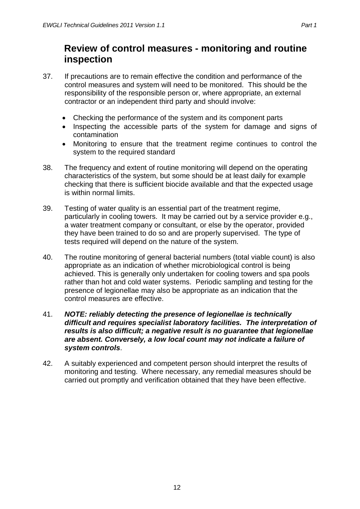- <span id="page-18-0"></span>37. If precautions are to remain effective the condition and performance of the control measures and system will need to be monitored. This should be the responsibility of the responsible person or, where appropriate, an external contractor or an independent third party and should involve:
	- Checking the performance of the system and its component parts
	- Inspecting the accessible parts of the system for damage and signs of contamination
	- Monitoring to ensure that the treatment regime continues to control the system to the required standard
- 38. The frequency and extent of routine monitoring will depend on the operating characteristics of the system, but some should be at least daily for example checking that there is sufficient biocide available and that the expected usage is within normal limits.
- 39. Testing of water quality is an essential part of the treatment regime, particularly in cooling towers. It may be carried out by a service provider e.g., a water treatment company or consultant, or else by the operator, provided they have been trained to do so and are properly supervised. The type of tests required will depend on the nature of the system.
- 40. The routine monitoring of general bacterial numbers (total viable count) is also appropriate as an indication of whether microbiological control is being achieved. This is generally only undertaken for cooling towers and spa pools rather than hot and cold water systems. Periodic sampling and testing for the presence of legionellae may also be appropriate as an indication that the control measures are effective.
- 41. *NOTE: reliably detecting the presence of legionellae is technically difficult and requires specialist laboratory facilities. The interpretation of results is also difficult; a negative result is no guarantee that legionellae are absent. Conversely, a low local count may not indicate a failure of system controls*.
- 42. A suitably experienced and competent person should interpret the results of monitoring and testing. Where necessary, any remedial measures should be carried out promptly and verification obtained that they have been effective.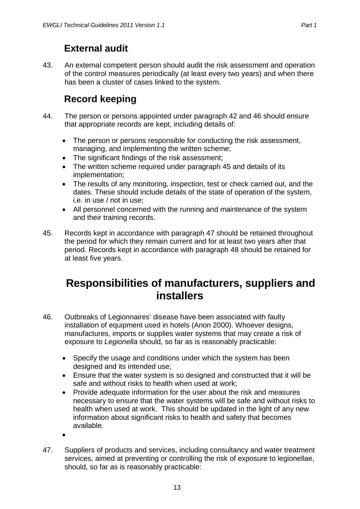### **External audit**

<span id="page-19-0"></span>43. An external competent person should audit the risk assessment and operation of the control measures periodically (at least every two years) and when there has been a cluster of cases linked to the system.

## **Record keeping**

- <span id="page-19-1"></span>44. The person or persons appointed under paragraph 42 and 46 should ensure that appropriate records are kept, including details of:
	- The person or persons responsible for conducting the risk assessment, managing, and implementing the written scheme;
	- The significant findings of the risk assessment:
	- The written scheme required under paragraph 45 and details of its implementation;
	- The results of any monitoring, inspection, test or check carried out, and the dates. These should include details of the state of operation of the system, i.e. in use / not in use;
	- All personnel concerned with the running and maintenance of the system and their training records.
- 45. Records kept in accordance with paragraph 47 should be retained throughout the period for which they remain current and for at least two years after that period. Records kept in accordance with paragraph 48 should be retained for at least five years.

## <span id="page-19-2"></span>**Responsibilities of manufacturers, suppliers and installers**

- 46. Outbreaks of Legionnaires' disease have been associated with faulty installation of equipment used in hotels (Anon 2000). Whoever designs, manufactures, imports or supplies water systems that may create a risk of exposure to *Legionella* should, so far as is reasonably practicable:
	- Specify the usage and conditions under which the system has been designed and its intended use;
	- Ensure that the water system is so designed and constructed that it will be safe and without risks to health when used at work;
	- Provide adequate information for the user about the risk and measures necessary to ensure that the water systems will be safe and without risks to health when used at work. This should be updated in the light of any new information about significant risks to health and safety that becomes available.
	- •
- 47. Suppliers of products and services, including consultancy and water treatment services, aimed at preventing or controlling the risk of exposure to legionellae, should, so far as is reasonably practicable: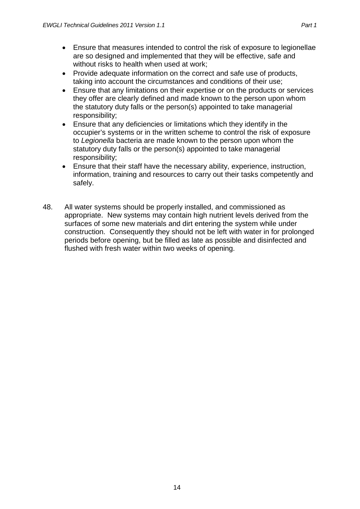- Provide adequate information on the correct and safe use of products, taking into account the circumstances and conditions of their use;
- Ensure that any limitations on their expertise or on the products or services they offer are clearly defined and made known to the person upon whom the statutory duty falls or the person(s) appointed to take managerial responsibility;
- Ensure that any deficiencies or limitations which they identify in the occupier's systems or in the written scheme to control the risk of exposure to *Legionella* bacteria are made known to the person upon whom the statutory duty falls or the person(s) appointed to take managerial responsibility;
- Ensure that their staff have the necessary ability, experience, instruction, information, training and resources to carry out their tasks competently and safely.
- 48. All water systems should be properly installed, and commissioned as appropriate. New systems may contain high nutrient levels derived from the surfaces of some new materials and dirt entering the system while under construction. Consequently they should not be left with water in for prolonged periods before opening, but be filled as late as possible and disinfected and flushed with fresh water within two weeks of opening.

14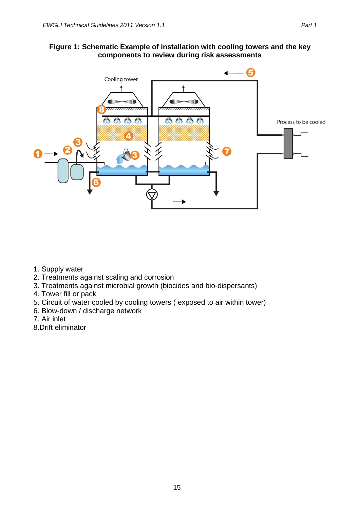#### **Figure 1: Schematic Example of installation with cooling towers and the key components to review during risk assessments**



- 1. Supply water
- 2. Treatments against scaling and corrosion
- 3. Treatments against microbial growth (biocides and bio-dispersants)
- 4. Tower fill or pack
- 5. Circuit of water cooled by cooling towers ( exposed to air within tower)
- 6. Blow-down / discharge network
- 7. Air inlet
- 8.Drift eliminator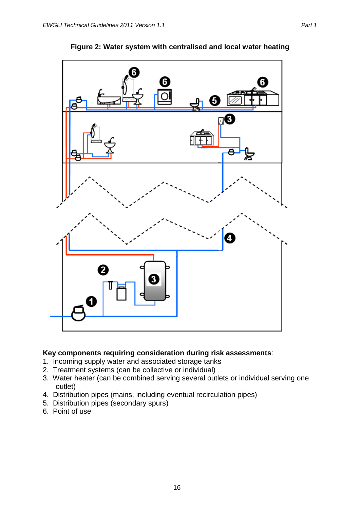

**Figure 2: Water system with centralised and local water heating**

#### **Key components requiring consideration during risk assessments**:

- 1. Incoming supply water and associated storage tanks
- 2. Treatment systems (can be collective or individual)
- 3. Water heater (can be combined serving several outlets or individual serving one outlet)
- 4. Distribution pipes (mains, including eventual recirculation pipes)
- 5. Distribution pipes (secondary spurs)
- 6. Point of use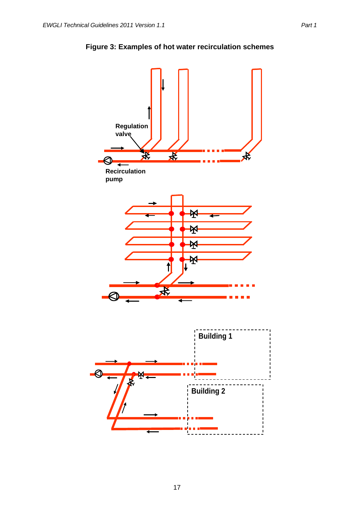

#### **Figure 3: Examples of hot water recirculation schemes**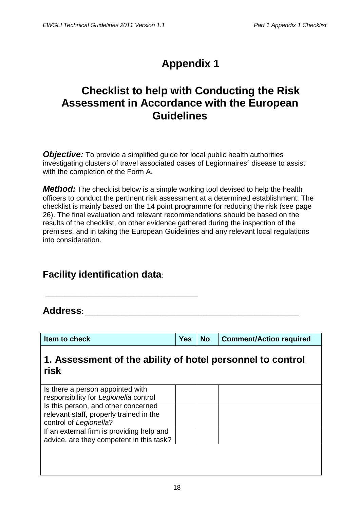# **Appendix 1**

## <span id="page-24-1"></span><span id="page-24-0"></span>**Checklist to help with Conducting the Risk Assessment in Accordance with the European Guidelines**

<span id="page-24-2"></span>*Objective:* To provide a simplified guide for local public health authorities investigating clusters of travel associated cases of Legionnaires´ disease to assist with the completion of the Form A.

<span id="page-24-3"></span>*Method:* The checklist below is a simple working tool devised to help the health officers to conduct the pertinent risk assessment at a determined establishment. The checklist is mainly based on the 14 point programme for reducing the risk (see page 26). The final evaluation and relevant recommendations should be based on the results of the checklist, on other evidence gathered during the inspection of the premises, and in taking the European Guidelines and any relevant local regulations into consideration.

### **Facility identification data**:

\_\_\_\_\_\_\_\_\_\_\_\_\_\_\_\_\_\_\_\_\_\_\_\_\_\_\_\_\_\_\_\_\_\_\_\_\_\_

**Address**: \_\_\_\_\_\_\_\_\_\_\_\_\_\_\_\_\_\_\_\_\_\_\_\_\_\_\_\_\_\_\_\_\_\_\_\_\_\_\_\_\_\_\_\_\_\_\_\_\_\_\_\_\_

|--|

#### **1. Assessment of the ability of hotel personnel to control risk**

| Is there a person appointed with          |  |
|-------------------------------------------|--|
| responsibility for Legionella control     |  |
| Is this person, and other concerned       |  |
| relevant staff, properly trained in the   |  |
| control of Legionella?                    |  |
| If an external firm is providing help and |  |
| advice, are they competent in this task?  |  |
|                                           |  |
|                                           |  |
|                                           |  |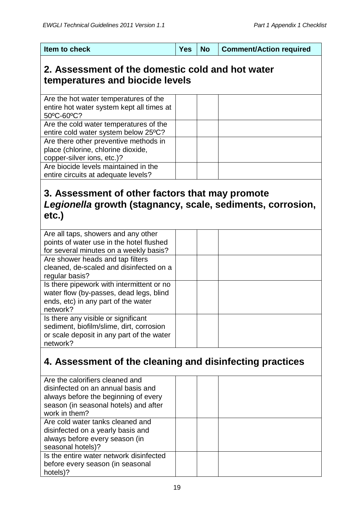| <b>Yes</b><br>Item to check | ∣ No | <b>Comment/Action required</b> |
|-----------------------------|------|--------------------------------|
|-----------------------------|------|--------------------------------|

### **2. Assessment of the domestic cold and hot water temperatures and biocide levels**

| Are the hot water temperatures of the<br>entire hot water system kept all times at<br>50°C-60°C?          |  |  |
|-----------------------------------------------------------------------------------------------------------|--|--|
| Are the cold water temperatures of the<br>entire cold water system below 25°C?                            |  |  |
| Are there other preventive methods in<br>place (chlorine, chlorine dioxide,<br>copper-silver ions, etc.)? |  |  |
| Are biocide levels maintained in the<br>entire circuits at adequate levels?                               |  |  |
|                                                                                                           |  |  |

### **3. Assessment of other factors that may promote**  *Legionella* **growth (stagnancy, scale, sediments, corrosion, etc.)**

| Are all taps, showers and any other       |  |  |
|-------------------------------------------|--|--|
| points of water use in the hotel flushed  |  |  |
| for several minutes on a weekly basis?    |  |  |
| Are shower heads and tap filters          |  |  |
| cleaned, de-scaled and disinfected on a   |  |  |
| regular basis?                            |  |  |
| Is there pipework with intermittent or no |  |  |
| water flow (by-passes, dead legs, blind   |  |  |
| ends, etc) in any part of the water       |  |  |
| network?                                  |  |  |
| Is there any visible or significant       |  |  |
| sediment, biofilm/slime, dirt, corrosion  |  |  |
| or scale deposit in any part of the water |  |  |
| network?                                  |  |  |

## **4. Assessment of the cleaning and disinfecting practices**

| Are the calorifiers cleaned and<br>disinfected on an annual basis and<br>always before the beginning of every<br>season (in seasonal hotels) and after<br>work in them? |  |  |
|-------------------------------------------------------------------------------------------------------------------------------------------------------------------------|--|--|
| Are cold water tanks cleaned and<br>disinfected on a yearly basis and<br>always before every season (in<br>seasonal hotels)?                                            |  |  |
| Is the entire water network disinfected<br>before every season (in seasonal<br>hotels)?                                                                                 |  |  |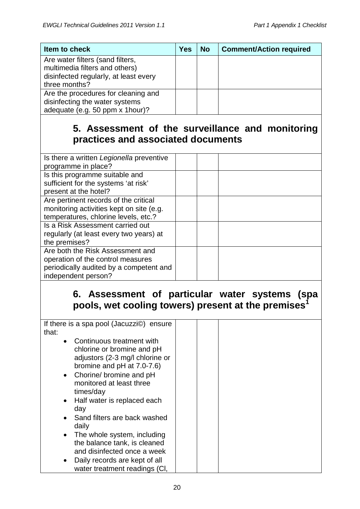| Item to check                                                                                               | <b>Yes</b> | <b>No</b> | <b>Comment/Action required</b> |
|-------------------------------------------------------------------------------------------------------------|------------|-----------|--------------------------------|
| Are water filters (sand filters,<br>multimedia filters and others)<br>disinfected regularly, at least every |            |           |                                |
| three months?                                                                                               |            |           |                                |
| Are the procedures for cleaning and<br>disinfecting the water systems<br>adequate (e.g. 50 ppm x 1hour)?    |            |           |                                |

### **5. Assessment of the surveillance and monitoring practices and associated documents**

| Is there a written Legionella preventive |  |  |
|------------------------------------------|--|--|
| programme in place?                      |  |  |
| Is this programme suitable and           |  |  |
| sufficient for the systems 'at risk'     |  |  |
| present at the hotel?                    |  |  |
| Are pertinent records of the critical    |  |  |
| monitoring activities kept on site (e.g. |  |  |
| temperatures, chlorine levels, etc.?     |  |  |
| Is a Risk Assessment carried out         |  |  |
| regularly (at least every two years) at  |  |  |
| the premises?                            |  |  |
| Are both the Risk Assessment and         |  |  |
| operation of the control measures        |  |  |
| periodically audited by a competent and  |  |  |
| independent person?                      |  |  |
|                                          |  |  |

### **6. Assessment of particular water systems (spa pools, wet cooling towers) present at the premises<sup>1</sup>**

| If there is a spa pool (Jacuzzi©) ensure<br>that:                             |  |
|-------------------------------------------------------------------------------|--|
| Continuous treatment with<br>$\bullet$<br>chlorine or bromine and pH          |  |
| adjustors (2-3 mg/l chlorine or                                               |  |
| bromine and pH at 7.0-7.6)                                                    |  |
| Chorine/ bromine and pH<br>$\bullet$<br>monitored at least three<br>times/day |  |
| Half water is replaced each<br>$\bullet$<br>day                               |  |
| Sand filters are back washed<br>daily                                         |  |
| The whole system, including<br>$\bullet$<br>the balance tank, is cleaned      |  |
| and disinfected once a week                                                   |  |
| Daily records are kept of all<br>water treatment readings (CI,                |  |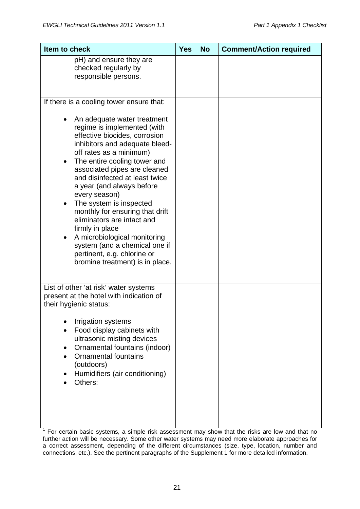| Item to check                                                                                                                                                                                                                                                                                                                                                                                                                                                                                                                                                                                          | <b>Yes</b> | <b>No</b> | <b>Comment/Action required</b> |
|--------------------------------------------------------------------------------------------------------------------------------------------------------------------------------------------------------------------------------------------------------------------------------------------------------------------------------------------------------------------------------------------------------------------------------------------------------------------------------------------------------------------------------------------------------------------------------------------------------|------------|-----------|--------------------------------|
| pH) and ensure they are<br>checked regularly by<br>responsible persons.                                                                                                                                                                                                                                                                                                                                                                                                                                                                                                                                |            |           |                                |
| If there is a cooling tower ensure that:<br>An adequate water treatment<br>regime is implemented (with<br>effective biocides, corrosion<br>inhibitors and adequate bleed-<br>off rates as a minimum)<br>The entire cooling tower and<br>associated pipes are cleaned<br>and disinfected at least twice<br>a year (and always before<br>every season)<br>The system is inspected<br>monthly for ensuring that drift<br>eliminators are intact and<br>firmly in place<br>A microbiological monitoring<br>system (and a chemical one if<br>pertinent, e.g. chlorine or<br>bromine treatment) is in place. |            |           |                                |
| List of other 'at risk' water systems<br>present at the hotel with indication of<br>their hygienic status:<br>Irrigation systems<br>Food display cabinets with<br>ultrasonic misting devices<br>Ornamental fountains (indoor)<br><b>Ornamental fountains</b><br>(outdoors)<br>Humidifiers (air conditioning)<br>Others:                                                                                                                                                                                                                                                                                |            |           |                                |

 $\frac{1}{1}$  For certain basic systems, a simple risk assessment may show that the risks are low and that no further action will be necessary. Some other water systems may need more elaborate approaches for a correct assessment, depending of the different circumstances (size, type, location, number and connections, etc.). See the pertinent paragraphs of the Supplement 1 for more detailed information.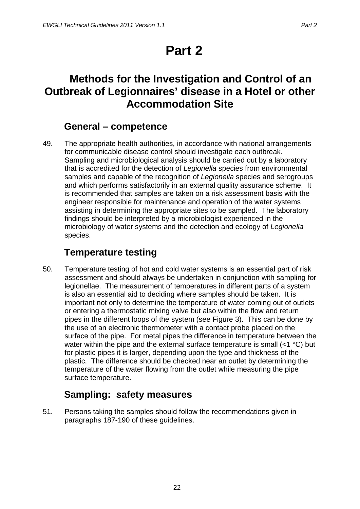# **Part 2**

## <span id="page-28-1"></span><span id="page-28-0"></span>**Methods for the Investigation and Control of an Outbreak of Legionnaires' disease in a Hotel or other Accommodation Site**

### **General – competence**

<span id="page-28-2"></span>49. The appropriate health authorities, in accordance with national arrangements for communicable disease control should investigate each outbreak. Sampling and microbiological analysis should be carried out by a laboratory that is accredited for the detection of *Legionella* species from environmental samples and capable of the recognition of *Legionella* species and serogroups and which performs satisfactorily in an external quality assurance scheme. It is recommended that samples are taken on a risk assessment basis with the engineer responsible for maintenance and operation of the water systems assisting in determining the appropriate sites to be sampled. The laboratory findings should be interpreted by a microbiologist experienced in the microbiology of water systems and the detection and ecology of *Legionella* species.

## **Temperature testing**

<span id="page-28-3"></span>50. Temperature testing of hot and cold water systems is an essential part of risk assessment and should always be undertaken in conjunction with sampling for legionellae. The measurement of temperatures in different parts of a system is also an essential aid to deciding where samples should be taken. It is important not only to determine the temperature of water coming out of outlets or entering a thermostatic mixing valve but also within the flow and return pipes in the different loops of the system (see Figure 3). This can be done by the use of an electronic thermometer with a contact probe placed on the surface of the pipe. For metal pipes the difference in temperature between the water within the pipe and the external surface temperature is small (<1 °C) but for plastic pipes it is larger, depending upon the type and thickness of the plastic. The difference should be checked near an outlet by determining the temperature of the water flowing from the outlet while measuring the pipe surface temperature.

## **Sampling: safety measures**

<span id="page-28-4"></span>51. Persons taking the samples should follow the recommendations given in paragraphs 187-190 of these guidelines.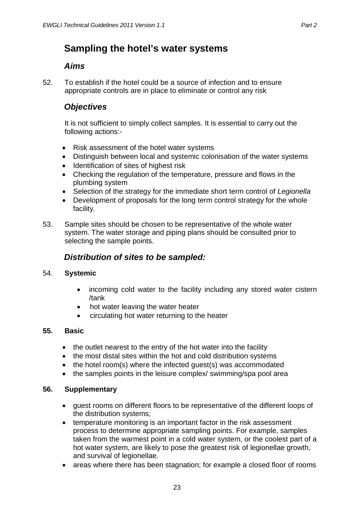### <span id="page-29-0"></span>**Sampling the hotel's water systems**

#### *Aims*

<span id="page-29-1"></span>52. To establish if the hotel could be a source of infection and to ensure appropriate controls are in place to eliminate or control any risk

#### <span id="page-29-2"></span>*Objectives*

It is not sufficient to simply collect samples. It is essential to carry out the following actions:-

- Risk assessment of the hotel water systems
- Distinguish between local and systemic colonisation of the water systems
- Identification of sites of highest risk
- Checking the regulation of the temperature, pressure and flows in the plumbing system
- Selection of the strategy for the immediate short term control of *Legionella*
- Development of proposals for the long term control strategy for the whole facility.
- 53. Sample sites should be chosen to be representative of the whole water system. The water storage and piping plans should be consulted prior to selecting the sample points.

#### *Distribution of sites to be sampled:*

#### <span id="page-29-3"></span>54. **Systemic**

- incoming cold water to the facility including any stored water cistern /tank
- hot water leaving the water heater
- circulating hot water returning to the heater

#### **55. Basic**

- the outlet nearest to the entry of the hot water into the facility
- the most distal sites within the hot and cold distribution systems
- the hotel room(s) where the infected guest(s) was accommodated
- the samples points in the leisure complex/ swimming/spa pool area

#### **56. Supplementary**

- guest rooms on different floors to be representative of the different loops of the distribution systems;
- temperature monitoring is an important factor in the risk assessment process to determine appropriate sampling points. For example, samples taken from the warmest point in a cold water system, or the coolest part of a hot water system, are likely to pose the greatest risk of legionellae growth, and survival of legionellae.
- areas where there has been stagnation; for example a closed floor of rooms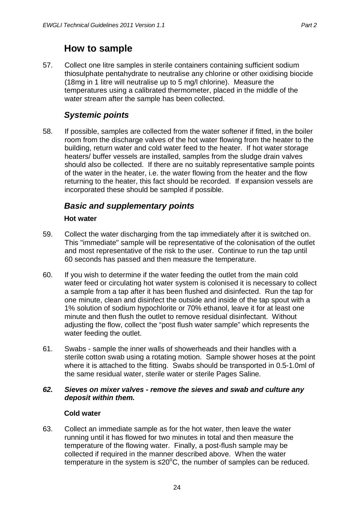#### **How to sample**

<span id="page-30-0"></span>57. Collect one litre samples in sterile containers containing sufficient sodium thiosulphate pentahydrate to neutralise any chlorine or other oxidising biocide (18mg in 1 litre will neutralise up to 5 mg/l chlorine). Measure the temperatures using a calibrated thermometer, placed in the middle of the water stream after the sample has been collected.

#### *Systemic points*

<span id="page-30-1"></span>58. If possible, samples are collected from the water softener if fitted, in the boiler room from the discharge valves of the hot water flowing from the heater to the building, return water and cold water feed to the heater. If hot water storage heaters/ buffer vessels are installed, samples from the sludge drain valves should also be collected. If there are no suitably representative sample points of the water in the heater, i.e. the water flowing from the heater and the flow returning to the heater, this fact should be recorded. If expansion vessels are incorporated these should be sampled if possible.

#### <span id="page-30-2"></span>*Basic and supplementary points*

#### **Hot water**

- <span id="page-30-3"></span>59. Collect the water discharging from the tap immediately after it is switched on. This "immediate" sample will be representative of the colonisation of the outlet and most representative of the risk to the user. Continue to run the tap until 60 seconds has passed and then measure the temperature.
- 60. If you wish to determine if the water feeding the outlet from the main cold water feed or circulating hot water system is colonised it is necessary to collect a sample from a tap after it has been flushed and disinfected. Run the tap for one minute, clean and disinfect the outside and inside of the tap spout with a 1% solution of sodium hypochlorite or 70% ethanol, leave it for at least one minute and then flush the outlet to remove residual disinfectant. Without adjusting the flow, collect the "post flush water sample" which represents the water feeding the outlet.
- 61. Swabs sample the inner walls of showerheads and their handles with a sterile cotton swab using a rotating motion. Sample shower hoses at the point where it is attached to the fitting. Swabs should be transported in 0.5-1.0ml of the same residual water, sterile water or sterile Pages Saline.

#### *62. Sieves on mixer valves - remove the sieves and swab and culture any deposit within them.*

#### **Cold water**

<span id="page-30-4"></span>63. Collect an immediate sample as for the hot water, then leave the water running until it has flowed for two minutes in total and then measure the temperature of the flowing water. Finally, a post-flush sample may be collected if required in the manner described above. When the water temperature in the system is ≤20 $\mathrm{^oC}$ , the number of samples can be reduced.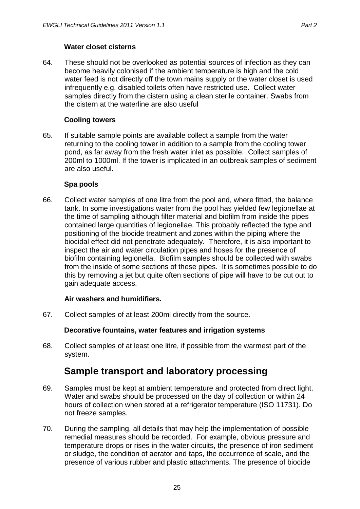<span id="page-31-0"></span>64. These should not be overlooked as potential sources of infection as they can become heavily colonised if the ambient temperature is high and the cold water feed is not directly off the town mains supply or the water closet is used infrequently e.g. disabled toilets often have restricted use. Collect water samples directly from the cistern using a clean sterile container. Swabs from the cistern at the waterline are also useful

#### **Cooling towers**

<span id="page-31-1"></span>65. If suitable sample points are available collect a sample from the water returning to the cooling tower in addition to a sample from the cooling tower pond, as far away from the fresh water inlet as possible. Collect samples of 200ml to 1000ml. If the tower is implicated in an outbreak samples of sediment are also useful.

#### **Spa pools**

<span id="page-31-2"></span>66. Collect water samples of one litre from the pool and, where fitted, the balance tank. In some investigations water from the pool has yielded few legionellae at the time of sampling although filter material and biofilm from inside the pipes contained large quantities of legionellae. This probably reflected the type and positioning of the biocide treatment and zones within the piping where the biocidal effect did not penetrate adequately. Therefore, it is also important to inspect the air and water circulation pipes and hoses for the presence of biofilm containing legionella. Biofilm samples should be collected with swabs from the inside of some sections of these pipes. It is sometimes possible to do this by removing a jet but quite often sections of pipe will have to be cut out to gain adequate access.

#### **Air washers and humidifiers.**

<span id="page-31-4"></span><span id="page-31-3"></span>67. Collect samples of at least 200ml directly from the source.

#### **Decorative fountains, water features and irrigation systems**

68. Collect samples of at least one litre, if possible from the warmest part of the system.

### **Sample transport and laboratory processing**

- <span id="page-31-5"></span>69. Samples must be kept at ambient temperature and protected from direct light. Water and swabs should be processed on the day of collection or within 24 hours of collection when stored at a refrigerator temperature (ISO 11731). Do not freeze samples.
- 70. During the sampling, all details that may help the implementation of possible remedial measures should be recorded. For example, obvious pressure and temperature drops or rises in the water circuits, the presence of iron sediment or sludge, the condition of aerator and taps, the occurrence of scale, and the presence of various rubber and plastic attachments. The presence of biocide

25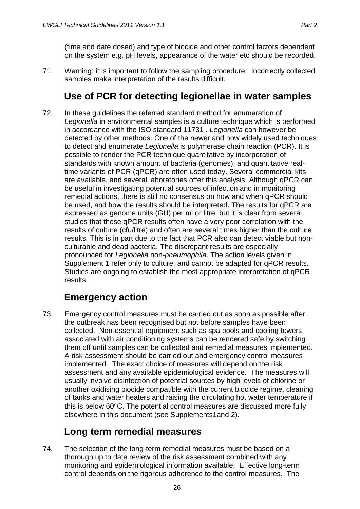(time and date dosed) and type of biocide and other control factors dependent on the system e.g. pH levels, appearance of the water etc should be recorded.

71. Warning: it is important to follow the sampling procedure. Incorrectly collected samples make interpretation of the results difficult.

### **Use of PCR for detecting legionellae in water samples**

<span id="page-32-0"></span>72. In these guidelines the referred standard method for enumeration of Legionella in environmental samples is a culture technique which is performed in accordance with the ISO standard 11731 . *Legionella* can however be detected by other methods. One of the newer and now widely used techniques to detect and enumerate *Legionella* is polymerase chain reaction (PCR). It is possible to render the PCR technique quantitative by incorporation of standards with known amount of bacteria (genomes), and quantitative realtime variants of PCR (qPCR) are often used today. Several commercial kits are available, and several laboratories offer this analysis. Although qPCR can be useful in investigating potential sources of infection and in monitoring remedial actions, there is still no consensus on how and when qPCR should be used, and how the results should be interpreted. The results for qPCR are expressed as genome units (GU) per ml or litre, but it is clear from several studies that these qPCR results often have a very poor correlation with the results of culture (cfu/litre) and often are several times higher than the culture results. This is in part due to the fact that PCR also can detect viable but nonculturable and dead bacteria. The discrepant results are especially pronounced for *Legionella* non-*pneumophila*. The action levels given in Supplement 1 refer only to culture, and cannot be adapted for qPCR results. Studies are ongoing to establish the most appropriate interpretation of qPCR results.

### **Emergency action**

<span id="page-32-1"></span>73. Emergency control measures must be carried out as soon as possible after the outbreak has been recognised but not before samples have been collected. Non-essential equipment such as spa pools and cooling towers associated with air conditioning systems can be rendered safe by switching them off until samples can be collected and remedial measures implemented. A risk assessment should be carried out and emergency control measures implemented. The exact choice of measures will depend on the risk assessment and any available epidemiological evidence. The measures will usually involve disinfection of potential sources by high levels of chlorine or another oxidising biocide compatible with the current biocide regime, cleaning of tanks and water heaters and raising the circulating hot water temperature if this is below 60°C. The potential control measures are discussed more fully elsewhere in this document (see Supplements1and 2).

### **Long term remedial measures**

<span id="page-32-2"></span>74. The selection of the long-term remedial measures must be based on a thorough up to date review of the risk assessment combined with any monitoring and epidemiological information available. Effective long-term control depends on the rigorous adherence to the control measures. The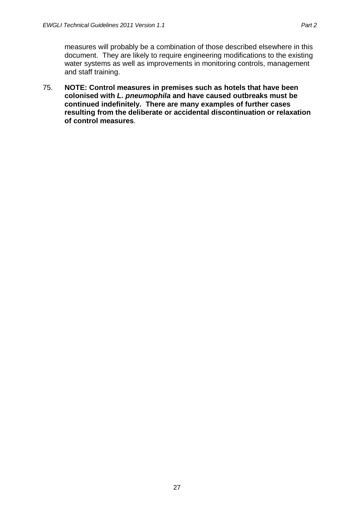measures will probably be a combination of those described elsewhere in this document. They are likely to require engineering modifications to the existing water systems as well as improvements in monitoring controls, management and staff training.

75. **NOTE: Control measures in premises such as hotels that have been colonised with** *L. pneumophila* **and have caused outbreaks must be continued indefinitely. There are many examples of further cases resulting from the deliberate or accidental discontinuation or relaxation of control measures**.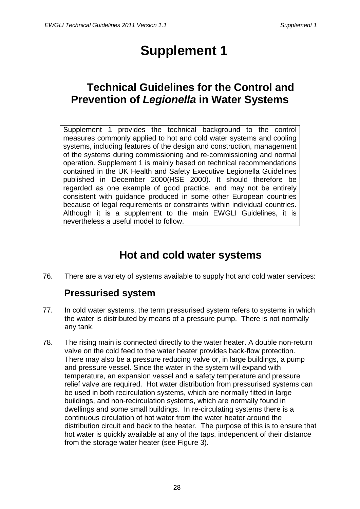# **Supplement 1**

## <span id="page-34-1"></span><span id="page-34-0"></span>**Technical Guidelines for the Control and Prevention of** *Legionella* **in Water Systems**

Supplement 1 provides the technical background to the control measures commonly applied to hot and cold water systems and cooling systems, including features of the design and construction, management of the systems during commissioning and re-commissioning and normal operation. Supplement 1 is mainly based on technical recommendations contained in the UK Health and Safety Executive Legionella Guidelines published in December 2000(HSE 2000). It should therefore be regarded as one example of good practice, and may not be entirely consistent with guidance produced in some other European countries because of legal requirements or constraints within individual countries. Although it is a supplement to the main EWGLI Guidelines, it is nevertheless a useful model to follow.

## **Hot and cold water systems**

<span id="page-34-3"></span><span id="page-34-2"></span>76. There are a variety of systems available to supply hot and cold water services:

### **Pressurised system**

- 77. In cold water systems, the term pressurised system refers to systems in which the water is distributed by means of a pressure pump. There is not normally any tank.
- 78. The rising main is connected directly to the water heater. A double non-return valve on the cold feed to the water heater provides back-flow protection. There may also be a pressure reducing valve or, in large buildings, a pump and pressure vessel. Since the water in the system will expand with temperature, an expansion vessel and a safety temperature and pressure relief valve are required. Hot water distribution from pressurised systems can be used in both recirculation systems, which are normally fitted in large buildings, and non-recirculation systems, which are normally found in dwellings and some small buildings. In re-circulating systems there is a continuous circulation of hot water from the water heater around the distribution circuit and back to the heater. The purpose of this is to ensure that hot water is quickly available at any of the taps, independent of their distance from the storage water heater (see Figure 3).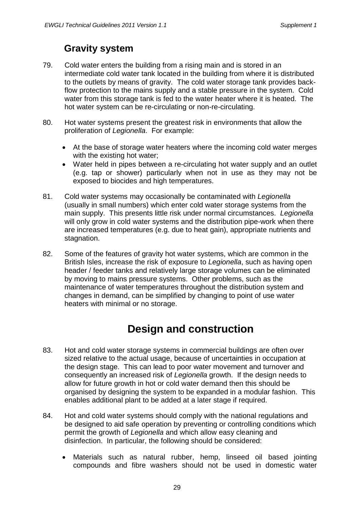### **Gravity system**

- <span id="page-35-0"></span>79. Cold water enters the building from a rising main and is stored in an intermediate cold water tank located in the building from where it is distributed to the outlets by means of gravity. The cold water storage tank provides backflow protection to the mains supply and a stable pressure in the system. Cold water from this storage tank is fed to the water heater where it is heated. The hot water system can be re-circulating or non-re-circulating.
- 80. Hot water systems present the greatest risk in environments that allow the proliferation of *Legionella*. For example:
	- At the base of storage water heaters where the incoming cold water merges with the existing hot water;
	- Water held in pipes between a re-circulating hot water supply and an outlet (e.g. tap or shower) particularly when not in use as they may not be exposed to biocides and high temperatures.
- 81. Cold water systems may occasionally be contaminated with *Legionella* (usually in small numbers) which enter cold water storage systems from the main supply. This presents little risk under normal circumstances. *Legionella* will only grow in cold water systems and the distribution pipe-work when there are increased temperatures (e.g. due to heat gain), appropriate nutrients and stagnation.
- 82. Some of the features of gravity hot water systems, which are common in the British Isles, increase the risk of exposure to *Legionella*, such as having open header / feeder tanks and relatively large storage volumes can be eliminated by moving to mains pressure systems. Other problems, such as the maintenance of water temperatures throughout the distribution system and changes in demand, can be simplified by changing to point of use water heaters with minimal or no storage.

## **Design and construction**

- <span id="page-35-1"></span>83. Hot and cold water storage systems in commercial buildings are often over sized relative to the actual usage, because of uncertainties in occupation at the design stage. This can lead to poor water movement and turnover and consequently an increased risk of *Legionella* growth. If the design needs to allow for future growth in hot or cold water demand then this should be organised by designing the system to be expanded in a modular fashion. This enables additional plant to be added at a later stage if required.
- 84. Hot and cold water systems should comply with the national regulations and be designed to aid safe operation by preventing or controlling conditions which permit the growth of *Legionella* and which allow easy cleaning and disinfection. In particular, the following should be considered:
	- Materials such as natural rubber, hemp, linseed oil based jointing compounds and fibre washers should not be used in domestic water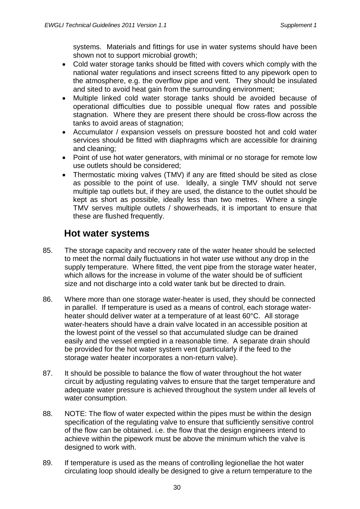systems. Materials and fittings for use in water systems should have been shown not to support microbial growth;

- Cold water storage tanks should be fitted with covers which comply with the national water regulations and insect screens fitted to any pipework open to the atmosphere, e.g. the overflow pipe and vent. They should be insulated and sited to avoid heat gain from the surrounding environment;
- Multiple linked cold water storage tanks should be avoided because of operational difficulties due to possible unequal flow rates and possible stagnation. Where they are present there should be cross-flow across the tanks to avoid areas of stagnation;
- Accumulator / expansion vessels on pressure boosted hot and cold water services should be fitted with diaphragms which are accessible for draining and cleaning;
- Point of use hot water generators, with minimal or no storage for remote low use outlets should be considered;
- Thermostatic mixing valves (TMV) if any are fitted should be sited as close as possible to the point of use. Ideally, a single TMV should not serve multiple tap outlets but, if they are used, the distance to the outlet should be kept as short as possible, ideally less than two metres. Where a single TMV serves multiple outlets / showerheads, it is important to ensure that these are flushed frequently.

#### **Hot water systems**

- 85. The storage capacity and recovery rate of the water heater should be selected to meet the normal daily fluctuations in hot water use without any drop in the supply temperature. Where fitted, the vent pipe from the storage water heater, which allows for the increase in volume of the water should be of sufficient size and not discharge into a cold water tank but be directed to drain.
- 86. Where more than one storage water-heater is used, they should be connected in parallel. If temperature is used as a means of control, each storage waterheater should deliver water at a temperature of at least 60°C. All storage water-heaters should have a drain valve located in an accessible position at the lowest point of the vessel so that accumulated sludge can be drained easily and the vessel emptied in a reasonable time. A separate drain should be provided for the hot water system vent (particularly if the feed to the storage water heater incorporates a non-return valve).
- 87. It should be possible to balance the flow of water throughout the hot water circuit by adjusting regulating valves to ensure that the target temperature and adequate water pressure is achieved throughout the system under all levels of water consumption.
- 88. NOTE: The flow of water expected within the pipes must be within the design specification of the regulating valve to ensure that sufficiently sensitive control of the flow can be obtained. i.e. the flow that the design engineers intend to achieve within the pipework must be above the minimum which the valve is designed to work with.
- 89. If temperature is used as the means of controlling legionellae the hot water circulating loop should ideally be designed to give a return temperature to the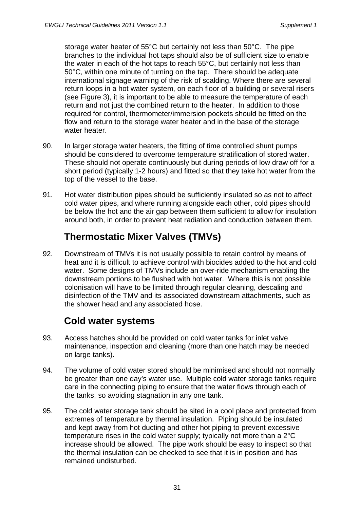storage water heater of 55°C but certainly not less than 50°C. The pipe branches to the individual hot taps should also be of sufficient size to enable the water in each of the hot taps to reach 55°C, but certainly not less than 50°C, within one minute of turning on the tap. There should be adequate international signage warning of the risk of scalding. Where there are several return loops in a hot water system, on each floor of a building or several risers (see Figure 3), it is important to be able to measure the temperature of each return and not just the combined return to the heater. In addition to those required for control, thermometer/immersion pockets should be fitted on the flow and return to the storage water heater and in the base of the storage water heater.

- 90. In larger storage water heaters, the fitting of time controlled shunt pumps should be considered to overcome temperature stratification of stored water. These should not operate continuously but during periods of low draw off for a short period (typically 1-2 hours) and fitted so that they take hot water from the top of the vessel to the base.
- 91. Hot water distribution pipes should be sufficiently insulated so as not to affect cold water pipes, and where running alongside each other, cold pipes should be below the hot and the air gap between them sufficient to allow for insulation around both, in order to prevent heat radiation and conduction between them.

# **Thermostatic Mixer Valves (TMVs)**

92. Downstream of TMVs it is not usually possible to retain control by means of heat and it is difficult to achieve control with biocides added to the hot and cold water. Some designs of TMVs include an over-ride mechanism enabling the downstream portions to be flushed with hot water. Where this is not possible colonisation will have to be limited through regular cleaning, descaling and disinfection of the TMV and its associated downstream attachments, such as the shower head and any associated hose.

#### **Cold water systems**

- 93. Access hatches should be provided on cold water tanks for inlet valve maintenance, inspection and cleaning (more than one hatch may be needed on large tanks).
- 94. The volume of cold water stored should be minimised and should not normally be greater than one day's water use. Multiple cold water storage tanks require care in the connecting piping to ensure that the water flows through each of the tanks, so avoiding stagnation in any one tank.
- 95. The cold water storage tank should be sited in a cool place and protected from extremes of temperature by thermal insulation. Piping should be insulated and kept away from hot ducting and other hot piping to prevent excessive temperature rises in the cold water supply; typically not more than a 2°C increase should be allowed. The pipe work should be easy to inspect so that the thermal insulation can be checked to see that it is in position and has remained undisturbed.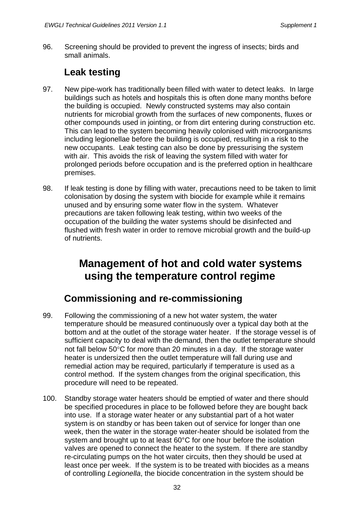96. Screening should be provided to prevent the ingress of insects; birds and small animals.

### **Leak testing**

- 97. New pipe-work has traditionally been filled with water to detect leaks. In large buildings such as hotels and hospitals this is often done many months before the building is occupied. Newly constructed systems may also contain nutrients for microbial growth from the surfaces of new components, fluxes or other compounds used in jointing, or from dirt entering during construction etc. This can lead to the system becoming heavily colonised with microorganisms including legionellae before the building is occupied, resulting in a risk to the new occupants. Leak testing can also be done by pressurising the system with air. This avoids the risk of leaving the system filled with water for prolonged periods before occupation and is the preferred option in healthcare premises.
- 98. If leak testing is done by filling with water, precautions need to be taken to limit colonisation by dosing the system with biocide for example while it remains unused and by ensuring some water flow in the system. Whatever precautions are taken following leak testing, within two weeks of the occupation of the building the water systems should be disinfected and flushed with fresh water in order to remove microbial growth and the build-up of nutrients.

# **Management of hot and cold water systems using the temperature control regime**

#### **Commissioning and re-commissioning**

- 99. Following the commissioning of a new hot water system, the water temperature should be measured continuously over a typical day both at the bottom and at the outlet of the storage water heater. If the storage vessel is of sufficient capacity to deal with the demand, then the outlet temperature should not fall below 50°C for more than 20 minutes in a day. If the storage water heater is undersized then the outlet temperature will fall during use and remedial action may be required, particularly if temperature is used as a control method. If the system changes from the original specification, this procedure will need to be repeated.
- 100. Standby storage water heaters should be emptied of water and there should be specified procedures in place to be followed before they are bought back into use. If a storage water heater or any substantial part of a hot water system is on standby or has been taken out of service for longer than one week, then the water in the storage water-heater should be isolated from the system and brought up to at least 60°C for one hour before the isolation valves are opened to connect the heater to the system. If there are standby re-circulating pumps on the hot water circuits, then they should be used at least once per week. If the system is to be treated with biocides as a means of controlling *Legionella*, the biocide concentration in the system should be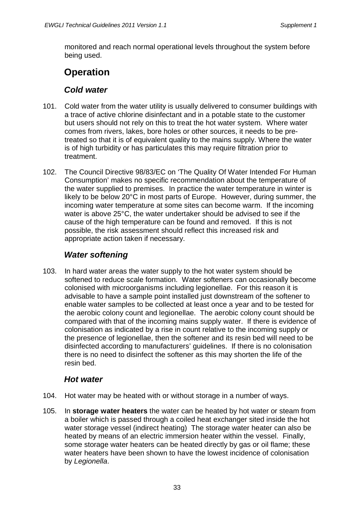monitored and reach normal operational levels throughout the system before being used.

## **Operation**

#### *Cold water*

- 101. Cold water from the water utility is usually delivered to consumer buildings with a trace of active chlorine disinfectant and in a potable state to the customer but users should not rely on this to treat the hot water system. Where water comes from rivers, lakes, bore holes or other sources, it needs to be pretreated so that it is of equivalent quality to the mains supply. Where the water is of high turbidity or has particulates this may require filtration prior to treatment.
- 102. The Council Directive 98/83/EC on 'The Quality Of Water Intended For Human Consumption' makes no specific recommendation about the temperature of the water supplied to premises. In practice the water temperature in winter is likely to be below 20°C in most parts of Europe. However, during summer, the incoming water temperature at some sites can become warm. If the incoming water is above 25°C, the water undertaker should be advised to see if the cause of the high temperature can be found and removed. If this is not possible, the risk assessment should reflect this increased risk and appropriate action taken if necessary.

#### *Water softening*

103. In hard water areas the water supply to the hot water system should be softened to reduce scale formation. Water softeners can occasionally become colonised with microorganisms including legionellae. For this reason it is advisable to have a sample point installed just downstream of the softener to enable water samples to be collected at least once a year and to be tested for the aerobic colony count and legionellae. The aerobic colony count should be compared with that of the incoming mains supply water. If there is evidence of colonisation as indicated by a rise in count relative to the incoming supply or the presence of legionellae, then the softener and its resin bed will need to be disinfected according to manufacturers' guidelines. If there is no colonisation there is no need to disinfect the softener as this may shorten the life of the resin bed.

#### *Hot water*

- 104. Hot water may be heated with or without storage in a number of ways.
- 105. In **storage water heaters** the water can be heated by hot water or steam from a boiler which is passed through a coiled heat exchanger sited inside the hot water storage vessel (indirect heating) The storage water heater can also be heated by means of an electric immersion heater within the vessel. Finally, some storage water heaters can be heated directly by gas or oil flame; these water heaters have been shown to have the lowest incidence of colonisation by *Legionella*.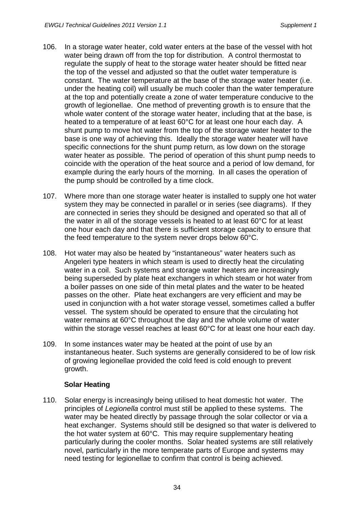- 106. In a storage water heater, cold water enters at the base of the vessel with hot water being drawn off from the top for distribution. A control thermostat to regulate the supply of heat to the storage water heater should be fitted near the top of the vessel and adjusted so that the outlet water temperature is constant. The water temperature at the base of the storage water heater (i.e. under the heating coil) will usually be much cooler than the water temperature at the top and potentially create a zone of water temperature conducive to the growth of legionellae. One method of preventing growth is to ensure that the whole water content of the storage water heater, including that at the base, is heated to a temperature of at least 60°C for at least one hour each day. A shunt pump to move hot water from the top of the storage water heater to the base is one way of achieving this. Ideally the storage water heater will have specific connections for the shunt pump return, as low down on the storage water heater as possible. The period of operation of this shunt pump needs to coincide with the operation of the heat source and a period of low demand, for example during the early hours of the morning. In all cases the operation of the pump should be controlled by a time clock.
- 107. Where more than one storage water heater is installed to supply one hot water system they may be connected in parallel or in series (see diagrams). If they are connected in series they should be designed and operated so that all of the water in all of the storage vessels is heated to at least 60°C for at least one hour each day and that there is sufficient storage capacity to ensure that the feed temperature to the system never drops below 60°C.
- 108. Hot water may also be heated by "instantaneous" water heaters such as Angeleri type heaters in which steam is used to directly heat the circulating water in a coil. Such systems and storage water heaters are increasingly being superseded by plate heat exchangers in which steam or hot water from a boiler passes on one side of thin metal plates and the water to be heated passes on the other. Plate heat exchangers are very efficient and may be used in conjunction with a hot water storage vessel, sometimes called a buffer vessel. The system should be operated to ensure that the circulating hot water remains at 60°C throughout the day and the whole volume of water within the storage vessel reaches at least 60°C for at least one hour each day.
- 109. In some instances water may be heated at the point of use by an instantaneous heater. Such systems are generally considered to be of low risk of growing legionellae provided the cold feed is cold enough to prevent growth.

#### **Solar Heating**

110. Solar energy is increasingly being utilised to heat domestic hot water. The principles of *Legionella* control must still be applied to these systems. The water may be heated directly by passage through the solar collector or via a heat exchanger. Systems should still be designed so that water is delivered to the hot water system at 60°C. This may require supplementary heating particularly during the cooler months. Solar heated systems are still relatively novel, particularly in the more temperate parts of Europe and systems may need testing for legionellae to confirm that control is being achieved.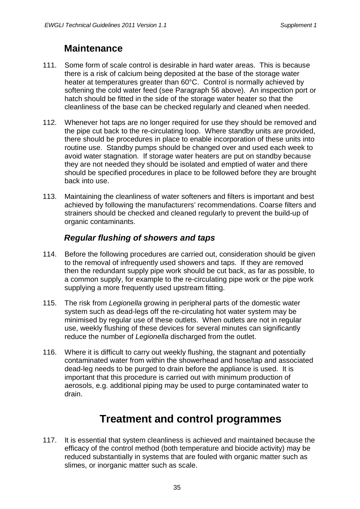#### **Maintenance**

- 111. Some form of scale control is desirable in hard water areas. This is because there is a risk of calcium being deposited at the base of the storage water heater at temperatures greater than 60°C. Control is normally achieved by softening the cold water feed (see Paragraph 56 above). An inspection port or hatch should be fitted in the side of the storage water heater so that the cleanliness of the base can be checked regularly and cleaned when needed.
- 112. Whenever hot taps are no longer required for use they should be removed and the pipe cut back to the re-circulating loop. Where standby units are provided, there should be procedures in place to enable incorporation of these units into routine use. Standby pumps should be changed over and used each week to avoid water stagnation. If storage water heaters are put on standby because they are not needed they should be isolated and emptied of water and there should be specified procedures in place to be followed before they are brought back into use.
- 113. Maintaining the cleanliness of water softeners and filters is important and best achieved by following the manufacturers' recommendations. Coarse filters and strainers should be checked and cleaned regularly to prevent the build-up of organic contaminants.

#### *Regular flushing of showers and taps*

- 114. Before the following procedures are carried out, consideration should be given to the removal of infrequently used showers and taps. If they are removed then the redundant supply pipe work should be cut back, as far as possible, to a common supply, for example to the re-circulating pipe work or the pipe work supplying a more frequently used upstream fitting.
- 115. The risk from *Legionella* growing in peripheral parts of the domestic water system such as dead-legs off the re-circulating hot water system may be minimised by regular use of these outlets. When outlets are not in regular use, weekly flushing of these devices for several minutes can significantly reduce the number of *Legionella* discharged from the outlet.
- 116. Where it is difficult to carry out weekly flushing, the stagnant and potentially contaminated water from within the showerhead and hose/tap and associated dead-leg needs to be purged to drain before the appliance is used. It is important that this procedure is carried out with minimum production of aerosols, e.g. additional piping may be used to purge contaminated water to drain.

# **Treatment and control programmes**

117. It is essential that system cleanliness is achieved and maintained because the efficacy of the control method (both temperature and biocide activity) may be reduced substantially in systems that are fouled with organic matter such as slimes, or inorganic matter such as scale.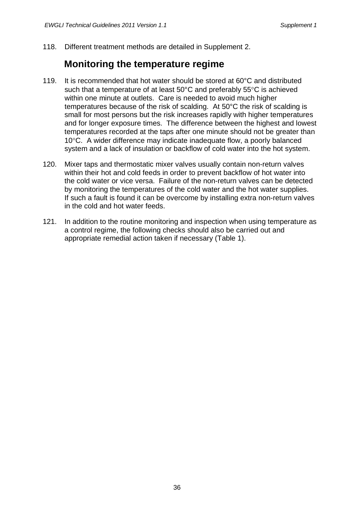118. Different treatment methods are detailed in Supplement 2.

#### **Monitoring the temperature regime**

- 119. It is recommended that hot water should be stored at 60°C and distributed such that a temperature of at least 50°C and preferably 55°C is achieved within one minute at outlets. Care is needed to avoid much higher temperatures because of the risk of scalding. At 50°C the risk of scalding is small for most persons but the risk increases rapidly with higher temperatures and for longer exposure times. The difference between the highest and lowest temperatures recorded at the taps after one minute should not be greater than 10°C. A wider difference may indicate inadequate flow, a poorly balanced system and a lack of insulation or backflow of cold water into the hot system.
- 120. Mixer taps and thermostatic mixer valves usually contain non-return valves within their hot and cold feeds in order to prevent backflow of hot water into the cold water or vice versa. Failure of the non-return valves can be detected by monitoring the temperatures of the cold water and the hot water supplies. If such a fault is found it can be overcome by installing extra non-return valves in the cold and hot water feeds.
- 121. In addition to the routine monitoring and inspection when using temperature as a control regime, the following checks should also be carried out and appropriate remedial action taken if necessary (Table 1).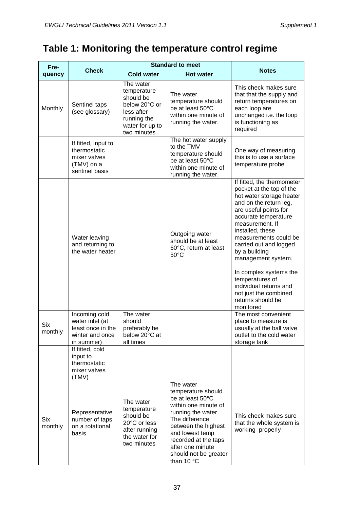# **Table 1: Monitoring the temperature control regime**

| Fre-                  |                                                                                        | <b>Standard to meet</b>                                                                                               |                                                                                                                                                                                                                                                           |                                                                                                                                                                                                                                                                                                                                                                                                                                  |
|-----------------------|----------------------------------------------------------------------------------------|-----------------------------------------------------------------------------------------------------------------------|-----------------------------------------------------------------------------------------------------------------------------------------------------------------------------------------------------------------------------------------------------------|----------------------------------------------------------------------------------------------------------------------------------------------------------------------------------------------------------------------------------------------------------------------------------------------------------------------------------------------------------------------------------------------------------------------------------|
| quency                | <b>Check</b>                                                                           | <b>Cold water</b>                                                                                                     | <b>Hot water</b>                                                                                                                                                                                                                                          | <b>Notes</b>                                                                                                                                                                                                                                                                                                                                                                                                                     |
| Monthly               | Sentinel taps<br>(see glossary)                                                        | The water<br>temperature<br>should be<br>below 20°C or<br>less after<br>running the<br>water for up to<br>two minutes | The water<br>temperature should<br>be at least 50°C<br>within one minute of<br>running the water.                                                                                                                                                         | This check makes sure<br>that that the supply and<br>return temperatures on<br>each loop are<br>unchanged i.e. the loop<br>is functioning as<br>required                                                                                                                                                                                                                                                                         |
|                       | If fitted, input to<br>thermostatic<br>mixer valves<br>(TMV) on a<br>sentinel basis    |                                                                                                                       | The hot water supply<br>to the TMV<br>temperature should<br>be at least 50°C<br>within one minute of<br>running the water.                                                                                                                                | One way of measuring<br>this is to use a surface<br>temperature probe                                                                                                                                                                                                                                                                                                                                                            |
|                       | Water leaving<br>and returning to<br>the water heater                                  |                                                                                                                       | Outgoing water<br>should be at least<br>60°C, return at least<br>50°C                                                                                                                                                                                     | If fitted, the thermometer<br>pocket at the top of the<br>hot water storage heater<br>and on the return leg,<br>are useful points for<br>accurate temperature<br>measurement. If<br>installed, these<br>measurements could be<br>carried out and logged<br>by a building<br>management system.<br>In complex systems the<br>temperatures of<br>individual returns and<br>not just the combined<br>returns should be<br>monitored |
| <b>Six</b><br>monthly | Incoming cold<br>water inlet (at<br>least once in the<br>winter and once<br>in summer) | The water<br>should<br>preferably be<br>below 20°C at<br>all times                                                    |                                                                                                                                                                                                                                                           | The most convenient<br>place to measure is<br>usually at the ball valve<br>outlet to the cold water<br>storage tank                                                                                                                                                                                                                                                                                                              |
|                       | If fitted, cold<br>input to<br>thermostatic<br>mixer valves<br>(TMV)                   |                                                                                                                       |                                                                                                                                                                                                                                                           |                                                                                                                                                                                                                                                                                                                                                                                                                                  |
| Six<br>monthly        | Representative<br>number of taps<br>on a rotational<br>basis                           | The water<br>temperature<br>should be<br>20°C or less<br>after running<br>the water for<br>two minutes                | The water<br>temperature should<br>be at least 50°C<br>within one minute of<br>running the water.<br>The difference<br>between the highest<br>and lowest temp<br>recorded at the taps<br>after one minute<br>should not be greater<br>than 10 $\degree$ C | This check makes sure<br>that the whole system is<br>working properly                                                                                                                                                                                                                                                                                                                                                            |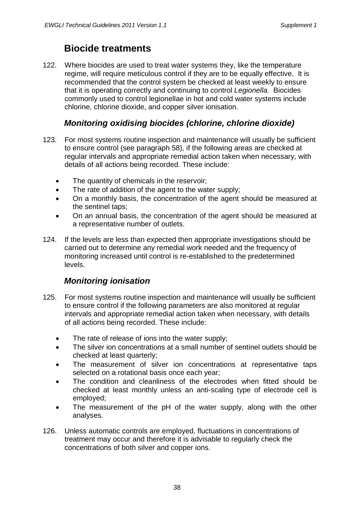#### **Biocide treatments**

122. Where biocides are used to treat water systems they, like the temperature regime, will require meticulous control if they are to be equally effective. It is recommended that the control system be checked at least weekly to ensure that it is operating correctly and continuing to control *Legionella*. Biocides commonly used to control legionellae in hot and cold water systems include chlorine, chlorine dioxide, and copper silver ionisation.

#### *Monitoring oxidising biocides (chlorine, chlorine dioxide)*

- 123. For most systems routine inspection and maintenance will usually be sufficient to ensure control (see paragraph 58), if the following areas are checked at regular intervals and appropriate remedial action taken when necessary, with details of all actions being recorded. These include:
	- The quantity of chemicals in the reservoir;
	- The rate of addition of the agent to the water supply;
	- On a monthly basis, the concentration of the agent should be measured at the sentinel taps;
	- On an annual basis, the concentration of the agent should be measured at a representative number of outlets.
- 124. If the levels are less than expected then appropriate investigations should be carried out to determine any remedial work needed and the frequency of monitoring increased until control is re-established to the predetermined levels.

#### *Monitoring ionisation*

- 125. For most systems routine inspection and maintenance will usually be sufficient to ensure control if the following parameters are also monitored at regular intervals and appropriate remedial action taken when necessary, with details of all actions being recorded. These include:
	- The rate of release of ions into the water supply;
	- The silver ion concentrations at a small number of sentinel outlets should be checked at least quarterly;
	- The measurement of silver ion concentrations at representative taps selected on a rotational basis once each year;
	- The condition and cleanliness of the electrodes when fitted should be checked at least monthly unless an anti-scaling type of electrode cell is employed;
	- The measurement of the pH of the water supply, along with the other analyses.
- 126. Unless automatic controls are employed, fluctuations in concentrations of treatment may occur and therefore it is advisable to regularly check the concentrations of both silver and copper ions.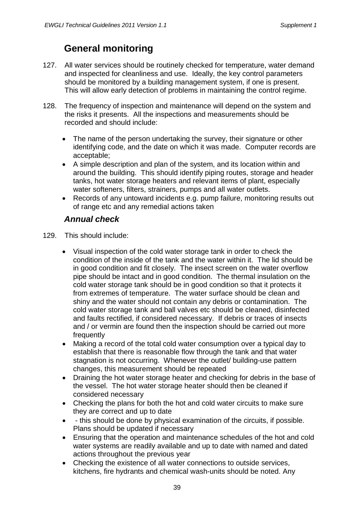### **General monitoring**

- 127. All water services should be routinely checked for temperature, water demand and inspected for cleanliness and use. Ideally, the key control parameters should be monitored by a building management system, if one is present. This will allow early detection of problems in maintaining the control regime.
- 128. The frequency of inspection and maintenance will depend on the system and the risks it presents. All the inspections and measurements should be recorded and should include:
	- The name of the person undertaking the survey, their signature or other identifying code, and the date on which it was made. Computer records are acceptable;
	- A simple description and plan of the system, and its location within and around the building. This should identify piping routes, storage and header tanks, hot water storage heaters and relevant items of plant, especially water softeners, filters, strainers, pumps and all water outlets.
	- Records of any untoward incidents e.g. pump failure, monitoring results out of range etc and any remedial actions taken

#### *Annual check*

- 129. This should include:
	- Visual inspection of the cold water storage tank in order to check the condition of the inside of the tank and the water within it. The lid should be in good condition and fit closely. The insect screen on the water overflow pipe should be intact and in good condition. The thermal insulation on the cold water storage tank should be in good condition so that it protects it from extremes of temperature. The water surface should be clean and shiny and the water should not contain any debris or contamination. The cold water storage tank and ball valves etc should be cleaned, disinfected and faults rectified, if considered necessary. If debris or traces of insects and / or vermin are found then the inspection should be carried out more frequently
	- Making a record of the total cold water consumption over a typical day to establish that there is reasonable flow through the tank and that water stagnation is not occurring. Whenever the outlet/ building-use pattern changes, this measurement should be repeated
	- Draining the hot water storage heater and checking for debris in the base of the vessel. The hot water storage heater should then be cleaned if considered necessary
	- Checking the plans for both the hot and cold water circuits to make sure they are correct and up to date
	- - this should be done by physical examination of the circuits, if possible. Plans should be updated if necessary
	- Ensuring that the operation and maintenance schedules of the hot and cold water systems are readily available and up to date with named and dated actions throughout the previous year
	- Checking the existence of all water connections to outside services, kitchens, fire hydrants and chemical wash-units should be noted. Any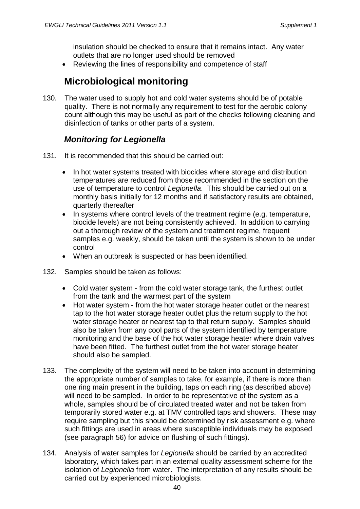insulation should be checked to ensure that it remains intact. Any water outlets that are no longer used should be removed

• Reviewing the lines of responsibility and competence of staff

#### **Microbiological monitoring**

130. The water used to supply hot and cold water systems should be of potable quality. There is not normally any requirement to test for the aerobic colony count although this may be useful as part of the checks following cleaning and disinfection of tanks or other parts of a system.

#### *Monitoring for Legionella*

- 131. It is recommended that this should be carried out:
	- In hot water systems treated with biocides where storage and distribution temperatures are reduced from those recommended in the section on the use of temperature to control *Legionella*. This should be carried out on a monthly basis initially for 12 months and if satisfactory results are obtained, quarterly thereafter
	- In systems where control levels of the treatment regime (e.g. temperature, biocide levels) are not being consistently achieved. In addition to carrying out a thorough review of the system and treatment regime, frequent samples e.g. weekly, should be taken until the system is shown to be under control
	- When an outbreak is suspected or has been identified.
- 132. Samples should be taken as follows:
	- Cold water system from the cold water storage tank, the furthest outlet from the tank and the warmest part of the system
	- Hot water system from the hot water storage heater outlet or the nearest tap to the hot water storage heater outlet plus the return supply to the hot water storage heater or nearest tap to that return supply. Samples should also be taken from any cool parts of the system identified by temperature monitoring and the base of the hot water storage heater where drain valves have been fitted. The furthest outlet from the hot water storage heater should also be sampled.
- 133. The complexity of the system will need to be taken into account in determining the appropriate number of samples to take, for example, if there is more than one ring main present in the building, taps on each ring (as described above) will need to be sampled. In order to be representative of the system as a whole, samples should be of circulated treated water and not be taken from temporarily stored water e.g. at TMV controlled taps and showers. These may require sampling but this should be determined by risk assessment e.g. where such fittings are used in areas where susceptible individuals may be exposed (see paragraph 56) for advice on flushing of such fittings).
- 134. Analysis of water samples for *Legionella* should be carried by an accredited laboratory, which takes part in an external quality assessment scheme for the isolation of *Legionella* from water. The interpretation of any results should be carried out by experienced microbiologists.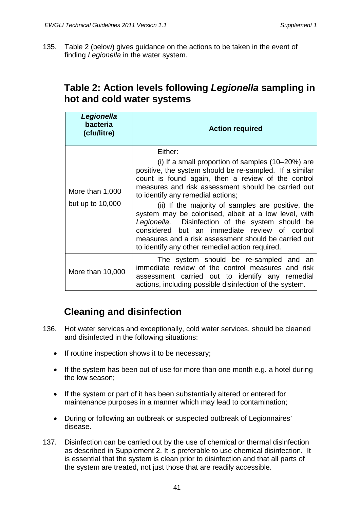135. Table 2 (below) gives guidance on the actions to be taken in the event of finding *Legionella* in the water system.

#### **Table 2: Action levels following** *Legionella* **sampling in hot and cold water systems**

| Legionella<br>bacteria<br>(cfu/litre) | <b>Action required</b>                                                                                                                                                                                                                                                                                                                                                                                                                                                                                                                                                                                  |  |  |
|---------------------------------------|---------------------------------------------------------------------------------------------------------------------------------------------------------------------------------------------------------------------------------------------------------------------------------------------------------------------------------------------------------------------------------------------------------------------------------------------------------------------------------------------------------------------------------------------------------------------------------------------------------|--|--|
| More than 1,000<br>but up to $10,000$ | Either:<br>(i) If a small proportion of samples $(10-20%)$ are<br>positive, the system should be re-sampled. If a similar<br>count is found again, then a review of the control<br>measures and risk assessment should be carried out<br>to identify any remedial actions;<br>(ii) If the majority of samples are positive, the<br>system may be colonised, albeit at a low level, with<br>Legionella. Disinfection of the system should be<br>considered but an immediate review of control<br>measures and a risk assessment should be carried out<br>to identify any other remedial action required. |  |  |
| More than 10,000                      | The system should be re-sampled and an<br>immediate review of the control measures and risk<br>assessment carried out to identify any remedial<br>actions, including possible disinfection of the system.                                                                                                                                                                                                                                                                                                                                                                                               |  |  |

#### **Cleaning and disinfection**

- 136. Hot water services and exceptionally, cold water services, should be cleaned and disinfected in the following situations:
	- If routine inspection shows it to be necessary;
	- If the system has been out of use for more than one month e.g. a hotel during the low season;
	- If the system or part of it has been substantially altered or entered for maintenance purposes in a manner which may lead to contamination;
	- During or following an outbreak or suspected outbreak of Legionnaires' disease.
- 137. Disinfection can be carried out by the use of chemical or thermal disinfection as described in Supplement 2. It is preferable to use chemical disinfection. It is essential that the system is clean prior to disinfection and that all parts of the system are treated, not just those that are readily accessible.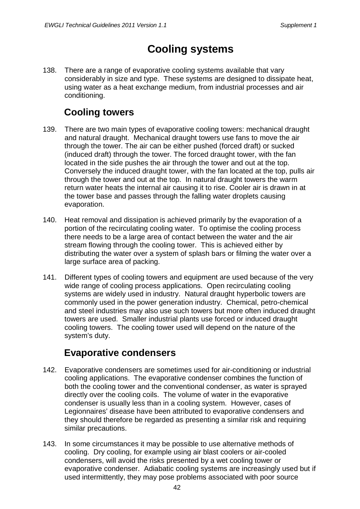# **Cooling systems**

138. There are a range of evaporative cooling systems available that vary considerably in size and type. These systems are designed to dissipate heat, using water as a heat exchange medium, from industrial processes and air conditioning.

### **Cooling towers**

- 139. There are two main types of evaporative cooling towers: mechanical draught and natural draught. Mechanical draught towers use fans to move the air through the tower. The air can be either pushed (forced draft) or sucked (induced draft) through the tower. The forced draught tower, with the fan located in the side pushes the air through the tower and out at the top. Conversely the induced draught tower, with the fan located at the top, pulls air through the tower and out at the top. In natural draught towers the warm return water heats the internal air causing it to rise. Cooler air is drawn in at the tower base and passes through the falling water droplets causing evaporation.
- 140. Heat removal and dissipation is achieved primarily by the evaporation of a portion of the recirculating cooling water. To optimise the cooling process there needs to be a large area of contact between the water and the air stream flowing through the cooling tower. This is achieved either by distributing the water over a system of splash bars or filming the water over a large surface area of packing.
- 141. Different types of cooling towers and equipment are used because of the very wide range of cooling process applications. Open recirculating cooling systems are widely used in industry. Natural draught hyperbolic towers are commonly used in the power generation industry. Chemical, petro-chemical and steel industries may also use such towers but more often induced draught towers are used. Smaller industrial plants use forced or induced draught cooling towers. The cooling tower used will depend on the nature of the system's duty.

#### **Evaporative condensers**

- 142. Evaporative condensers are sometimes used for air-conditioning or industrial cooling applications. The evaporative condenser combines the function of both the cooling tower and the conventional condenser, as water is sprayed directly over the cooling coils. The volume of water in the evaporative condenser is usually less than in a cooling system. However, cases of Legionnaires' disease have been attributed to evaporative condensers and they should therefore be regarded as presenting a similar risk and requiring similar precautions.
- 143. In some circumstances it may be possible to use alternative methods of cooling. Dry cooling, for example using air blast coolers or air-cooled condensers, will avoid the risks presented by a wet cooling tower or evaporative condenser. Adiabatic cooling systems are increasingly used but if used intermittently, they may pose problems associated with poor source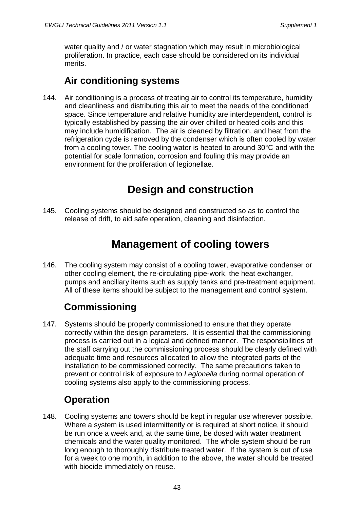water quality and / or water stagnation which may result in microbiological proliferation. In practice, each case should be considered on its individual merits.

### **Air conditioning systems**

144. Air conditioning is a process of treating air to control its temperature, humidity and cleanliness and distributing this air to meet the needs of the conditioned space. Since temperature and relative humidity are interdependent, control is typically established by passing the air over chilled or heated coils and this may include humidification. The air is cleaned by filtration, and heat from the refrigeration cycle is removed by the condenser which is often cooled by water from a cooling tower. The cooling water is heated to around 30°C and with the potential for scale formation, corrosion and fouling this may provide an environment for the proliferation of legionellae.

# **Design and construction**

145. Cooling systems should be designed and constructed so as to control the release of drift, to aid safe operation, cleaning and disinfection.

# **Management of cooling towers**

146. The cooling system may consist of a cooling tower, evaporative condenser or other cooling element, the re-circulating pipe-work, the heat exchanger, pumps and ancillary items such as supply tanks and pre-treatment equipment. All of these items should be subject to the management and control system.

# **Commissioning**

147. Systems should be properly commissioned to ensure that they operate correctly within the design parameters. It is essential that the commissioning process is carried out in a logical and defined manner. The responsibilities of the staff carrying out the commissioning process should be clearly defined with adequate time and resources allocated to allow the integrated parts of the installation to be commissioned correctly. The same precautions taken to prevent or control risk of exposure to *Legionella* during normal operation of cooling systems also apply to the commissioning process.

# **Operation**

148. Cooling systems and towers should be kept in regular use wherever possible. Where a system is used intermittently or is required at short notice, it should be run once a week and, at the same time, be dosed with water treatment chemicals and the water quality monitored. The whole system should be run long enough to thoroughly distribute treated water. If the system is out of use for a week to one month, in addition to the above, the water should be treated with biocide immediately on reuse.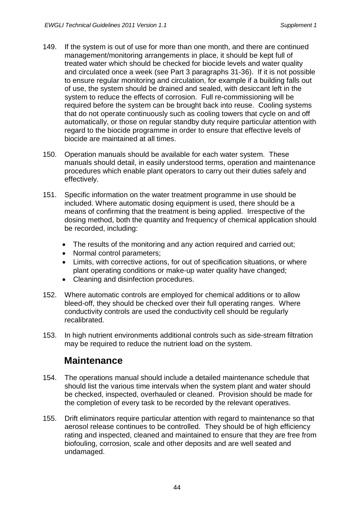- 149. If the system is out of use for more than one month, and there are continued management/monitoring arrangements in place, it should be kept full of treated water which should be checked for biocide levels and water quality and circulated once a week (see Part 3 paragraphs 31-36). If it is not possible to ensure regular monitoring and circulation, for example if a building falls out of use, the system should be drained and sealed, with desiccant left in the system to reduce the effects of corrosion. Full re-commissioning will be required before the system can be brought back into reuse. Cooling systems that do not operate continuously such as cooling towers that cycle on and off automatically, or those on regular standby duty require particular attention with regard to the biocide programme in order to ensure that effective levels of biocide are maintained at all times.
- 150. Operation manuals should be available for each water system. These manuals should detail, in easily understood terms, operation and maintenance procedures which enable plant operators to carry out their duties safely and effectively.
- 151. Specific information on the water treatment programme in use should be included. Where automatic dosing equipment is used, there should be a means of confirming that the treatment is being applied. Irrespective of the dosing method, both the quantity and frequency of chemical application should be recorded, including:
	- The results of the monitoring and any action required and carried out;
	- Normal control parameters:
	- Limits, with corrective actions, for out of specification situations, or where plant operating conditions or make-up water quality have changed;
	- Cleaning and disinfection procedures.
- 152. Where automatic controls are employed for chemical additions or to allow bleed-off, they should be checked over their full operating ranges. Where conductivity controls are used the conductivity cell should be regularly recalibrated.
- 153. In high nutrient environments additional controls such as side-stream filtration may be required to reduce the nutrient load on the system.

#### **Maintenance**

- 154. The operations manual should include a detailed maintenance schedule that should list the various time intervals when the system plant and water should be checked, inspected, overhauled or cleaned. Provision should be made for the completion of every task to be recorded by the relevant operatives.
- 155. Drift eliminators require particular attention with regard to maintenance so that aerosol release continues to be controlled. They should be of high efficiency rating and inspected, cleaned and maintained to ensure that they are free from biofouling, corrosion, scale and other deposits and are well seated and undamaged.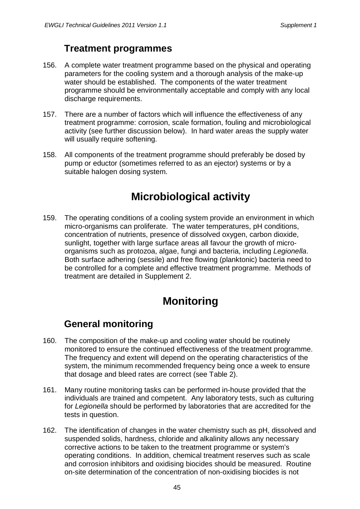### **Treatment programmes**

- 156. A complete water treatment programme based on the physical and operating parameters for the cooling system and a thorough analysis of the make-up water should be established. The components of the water treatment programme should be environmentally acceptable and comply with any local discharge requirements.
- 157. There are a number of factors which will influence the effectiveness of any treatment programme: corrosion, scale formation, fouling and microbiological activity (see further discussion below). In hard water areas the supply water will usually require softening.
- 158. All components of the treatment programme should preferably be dosed by pump or eductor (sometimes referred to as an ejector) systems or by a suitable halogen dosing system.

# **Microbiological activity**

159. The operating conditions of a cooling system provide an environment in which micro-organisms can proliferate. The water temperatures, pH conditions, concentration of nutrients, presence of dissolved oxygen, carbon dioxide, sunlight, together with large surface areas all favour the growth of microorganisms such as protozoa, algae, fungi and bacteria, including *Legionella*. Both surface adhering (sessile) and free flowing (planktonic) bacteria need to be controlled for a complete and effective treatment programme. Methods of treatment are detailed in Supplement 2.

# **Monitoring**

#### **General monitoring**

- 160. The composition of the make-up and cooling water should be routinely monitored to ensure the continued effectiveness of the treatment programme. The frequency and extent will depend on the operating characteristics of the system, the minimum recommended frequency being once a week to ensure that dosage and bleed rates are correct (see Table 2).
- 161. Many routine monitoring tasks can be performed in-house provided that the individuals are trained and competent. Any laboratory tests, such as culturing for *Legionella* should be performed by laboratories that are accredited for the tests in question.
- 162. The identification of changes in the water chemistry such as pH, dissolved and suspended solids, hardness, chloride and alkalinity allows any necessary corrective actions to be taken to the treatment programme or system's operating conditions. In addition, chemical treatment reserves such as scale and corrosion inhibitors and oxidising biocides should be measured. Routine on-site determination of the concentration of non-oxidising biocides is not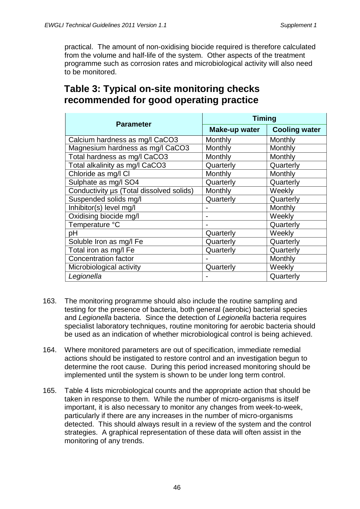practical. The amount of non-oxidising biocide required is therefore calculated from the volume and half-life of the system. Other aspects of the treatment programme such as corrosion rates and microbiological activity will also need to be monitored.

| <b>Parameter</b>                         | <b>Timing</b>        |                      |  |
|------------------------------------------|----------------------|----------------------|--|
|                                          | <b>Make-up water</b> | <b>Cooling water</b> |  |
| Calcium hardness as mg/l CaCO3           | Monthly              | Monthly              |  |
| Magnesium hardness as mg/l CaCO3         | Monthly              | Monthly              |  |
| Total hardness as mg/l CaCO3             | Monthly              | Monthly              |  |
| Total alkalinity as mg/l CaCO3           | Quarterly            | Quarterly            |  |
| Chloride as mg/l Cl                      | Monthly              | Monthly              |  |
| Sulphate as mg/l SO4                     | Quarterly            | Quarterly            |  |
| Conductivity µs (Total dissolved solids) | Monthly              | Weekly               |  |
| Suspended solids mg/l                    | Quarterly            | Quarterly            |  |
| Inhibitor(s) level mg/l                  |                      | Monthly              |  |
| Oxidising biocide mg/l                   |                      | Weekly               |  |
| Temperature °C                           |                      | Quarterly            |  |
| рH                                       | Quarterly            | Weekly               |  |
| Soluble Iron as mg/l Fe                  | Quarterly            | Quarterly            |  |
| Total iron as mg/l Fe                    | Quarterly            | Quarterly            |  |
| <b>Concentration factor</b>              |                      | Monthly              |  |
| Microbiological activity                 | Quarterly            | Weekly               |  |
| Legionella                               |                      | Quarterly            |  |

#### **Table 3: Typical on-site monitoring checks recommended for good operating practice**

- 163. The monitoring programme should also include the routine sampling and testing for the presence of bacteria, both general (aerobic) bacterial species and *Legionella* bacteria. Since the detection of *Legionella* bacteria requires specialist laboratory techniques, routine monitoring for aerobic bacteria should be used as an indication of whether microbiological control is being achieved.
- 164. Where monitored parameters are out of specification, immediate remedial actions should be instigated to restore control and an investigation begun to determine the root cause. During this period increased monitoring should be implemented until the system is shown to be under long term control.
- 165. Table 4 lists microbiological counts and the appropriate action that should be taken in response to them. While the number of micro-organisms is itself important, it is also necessary to monitor any changes from week-to-week, particularly if there are any increases in the number of micro-organisms detected. This should always result in a review of the system and the control strategies. A graphical representation of these data will often assist in the monitoring of any trends.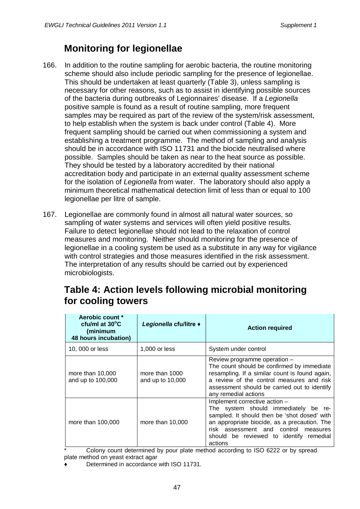## **Monitoring for legionellae**

- 166. In addition to the routine sampling for aerobic bacteria, the routine monitoring scheme should also include periodic sampling for the presence of legionellae. This should be undertaken at least quarterly (Table 3), unless sampling is necessary for other reasons, such as to assist in identifying possible sources of the bacteria during outbreaks of Legionnaires' disease. If a *Legionella* positive sample is found as a result of routine sampling, more frequent samples may be required as part of the review of the system/risk assessment, to help establish when the system is back under control (Table 4). More frequent sampling should be carried out when commissioning a system and establishing a treatment programme. The method of sampling and analysis should be in accordance with ISO 11731 and the biocide neutralised where possible. Samples should be taken as near to the heat source as possible. They should be tested by a laboratory accredited by their national accreditation body and participate in an external quality assessment scheme for the isolation of *Legionella* from water. The laboratory should also apply a minimum theoretical mathematical detection limit of less than or equal to 100 legionellae per litre of sample.
- 167. Legionellae are commonly found in almost all natural water sources, so sampling of water systems and services will often yield positive results. Failure to detect legionellae should not lead to the relaxation of control measures and monitoring. Neither should monitoring for the presence of legionellae in a cooling system be used as a substitute in any way for vigilance with control strategies and those measures identified in the risk assessment. The interpretation of any results should be carried out by experienced microbiologists.

#### **Table 4: Action levels following microbial monitoring for cooling towers**

| Aerobic count *<br>cfu/ml at $30^{\circ}$ C<br>(minimum<br>48 hours incubation) | Legionella cfu/litre +             | <b>Action required</b>                                                                                                                                                                                                                                              |
|---------------------------------------------------------------------------------|------------------------------------|---------------------------------------------------------------------------------------------------------------------------------------------------------------------------------------------------------------------------------------------------------------------|
| 10, 000 or less                                                                 | 1,000 or less                      | System under control                                                                                                                                                                                                                                                |
| more than $10,000$<br>and up to 100,000                                         | more than 1000<br>and up to 10,000 | Review programme operation -<br>The count should be confirmed by immediate<br>resampling. If a similar count is found again,<br>a review of the control measures and risk<br>assessment should be carried out to identify<br>any remedial actions                   |
| more than 100,000                                                               | more than 10,000                   | Implement corrective action -<br>The system should immediately be re-<br>sampled. It should then be 'shot dosed' with<br>an appropriate biocide, as a precaution. The<br>risk assessment and control measures<br>should be reviewed to identify remedial<br>actions |

Colony count determined by pour plate method according to ISO 6222 or by spread plate method on yeast extract agar

Determined in accordance with ISO 11731.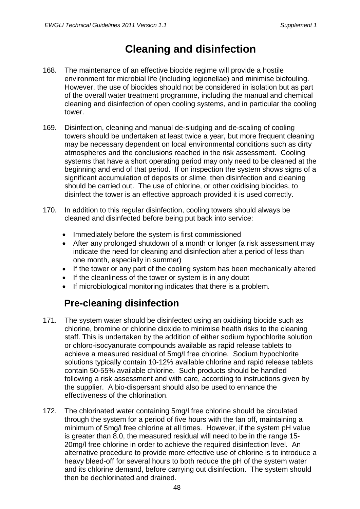# **Cleaning and disinfection**

- 168. The maintenance of an effective biocide regime will provide a hostile environment for microbial life (including legionellae) and minimise biofouling. However, the use of biocides should not be considered in isolation but as part of the overall water treatment programme, including the manual and chemical cleaning and disinfection of open cooling systems, and in particular the cooling tower.
- 169. Disinfection, cleaning and manual de-sludging and de-scaling of cooling towers should be undertaken at least twice a year, but more frequent cleaning may be necessary dependent on local environmental conditions such as dirty atmospheres and the conclusions reached in the risk assessment. Cooling systems that have a short operating period may only need to be cleaned at the beginning and end of that period. If on inspection the system shows signs of a significant accumulation of deposits or slime, then disinfection and cleaning should be carried out. The use of chlorine, or other oxidising biocides, to disinfect the tower is an effective approach provided it is used correctly.
- 170. In addition to this regular disinfection, cooling towers should always be cleaned and disinfected before being put back into service:
	- Immediately before the system is first commissioned
	- After any prolonged shutdown of a month or longer (a risk assessment may indicate the need for cleaning and disinfection after a period of less than one month, especially in summer)
	- If the tower or any part of the cooling system has been mechanically altered
	- If the cleanliness of the tower or system is in any doubt
	- If microbiological monitoring indicates that there is a problem.

# **Pre-cleaning disinfection**

- 171. The system water should be disinfected using an oxidising biocide such as chlorine, bromine or chlorine dioxide to minimise health risks to the cleaning staff. This is undertaken by the addition of either sodium hypochlorite solution or chloro-isocyanurate compounds available as rapid release tablets to achieve a measured residual of 5mg/l free chlorine. Sodium hypochlorite solutions typically contain 10-12% available chlorine and rapid release tablets contain 50-55% available chlorine. Such products should be handled following a risk assessment and with care, according to instructions given by the supplier. A bio-dispersant should also be used to enhance the effectiveness of the chlorination.
- 172. The chlorinated water containing 5mg/l free chlorine should be circulated through the system for a period of five hours with the fan off, maintaining a minimum of 5mg/l free chlorine at all times. However, if the system pH value is greater than 8.0, the measured residual will need to be in the range 15- 20mg/l free chlorine in order to achieve the required disinfection level. An alternative procedure to provide more effective use of chlorine is to introduce a heavy bleed-off for several hours to both reduce the pH of the system water and its chlorine demand, before carrying out disinfection. The system should then be dechlorinated and drained.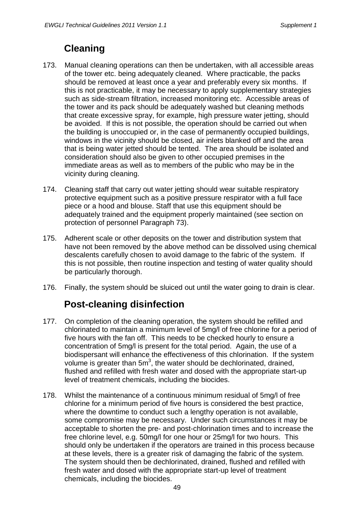# **Cleaning**

- 173. Manual cleaning operations can then be undertaken, with all accessible areas of the tower etc. being adequately cleaned. Where practicable, the packs should be removed at least once a year and preferably every six months. If this is not practicable, it may be necessary to apply supplementary strategies such as side-stream filtration, increased monitoring etc. Accessible areas of the tower and its pack should be adequately washed but cleaning methods that create excessive spray, for example, high pressure water jetting, should be avoided. If this is not possible, the operation should be carried out when the building is unoccupied or, in the case of permanently occupied buildings, windows in the vicinity should be closed, air inlets blanked off and the area that is being water jetted should be tented. The area should be isolated and consideration should also be given to other occupied premises in the immediate areas as well as to members of the public who may be in the vicinity during cleaning.
- 174. Cleaning staff that carry out water jetting should wear suitable respiratory protective equipment such as a positive pressure respirator with a full face piece or a hood and blouse. Staff that use this equipment should be adequately trained and the equipment properly maintained (see section on protection of personnel Paragraph 73).
- 175. Adherent scale or other deposits on the tower and distribution system that have not been removed by the above method can be dissolved using chemical descalents carefully chosen to avoid damage to the fabric of the system. If this is not possible, then routine inspection and testing of water quality should be particularly thorough.
- 176. Finally, the system should be sluiced out until the water going to drain is clear.

# **Post-cleaning disinfection**

- 177. On completion of the cleaning operation, the system should be refilled and chlorinated to maintain a minimum level of 5mg/l of free chlorine for a period of five hours with the fan off. This needs to be checked hourly to ensure a concentration of 5mg/l is present for the total period. Again, the use of a biodispersant will enhance the effectiveness of this chlorination. If the system volume is greater than 5 $m^3$ , the water should be dechlorinated, drained, flushed and refilled with fresh water and dosed with the appropriate start-up level of treatment chemicals, including the biocides.
- 178. Whilst the maintenance of a continuous minimum residual of 5mg/l of free chlorine for a minimum period of five hours is considered the best practice, where the downtime to conduct such a lengthy operation is not available, some compromise may be necessary. Under such circumstances it may be acceptable to shorten the pre- and post-chlorination times and to increase the free chlorine level, e.g. 50mg/l for one hour or 25mg/l for two hours. This should only be undertaken if the operators are trained in this process because at these levels, there is a greater risk of damaging the fabric of the system. The system should then be dechlorinated, drained, flushed and refilled with fresh water and dosed with the appropriate start-up level of treatment chemicals, including the biocides.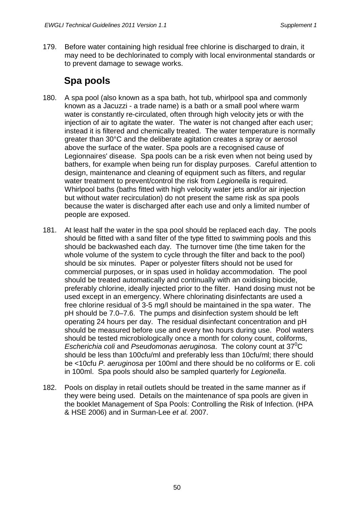179. Before water containing high residual free chlorine is discharged to drain, it may need to be dechlorinated to comply with local environmental standards or to prevent damage to sewage works.

### **Spa pools**

- 180. A spa pool (also known as a spa bath, hot tub, whirlpool spa and commonly known as a Jacuzzi - a trade name) is a bath or a small pool where warm water is constantly re-circulated, often through high velocity jets or with the injection of air to agitate the water. The water is not changed after each user; instead it is filtered and chemically treated. The water temperature is normally greater than 30°C and the deliberate agitation creates a spray or aerosol above the surface of the water. Spa pools are a recognised cause of Legionnaires' disease. Spa pools can be a risk even when not being used by bathers, for example when being run for display purposes. Careful attention to design, maintenance and cleaning of equipment such as filters, and regular water treatment to prevent/control the risk from *Legionella* is required. Whirlpool baths (baths fitted with high velocity water jets and/or air injection but without water recirculation) do not present the same risk as spa pools because the water is discharged after each use and only a limited number of people are exposed.
- 181. At least half the water in the spa pool should be replaced each day. The pools should be fitted with a sand filter of the type fitted to swimming pools and this should be backwashed each day. The turnover time (the time taken for the whole volume of the system to cycle through the filter and back to the pool) should be six minutes. Paper or polyester filters should not be used for commercial purposes, or in spas used in holiday accommodation. The pool should be treated automatically and continually with an oxidising biocide, preferably chlorine, ideally injected prior to the filter. Hand dosing must not be used except in an emergency. Where chlorinating disinfectants are used a free chlorine residual of 3-5 mg/l should be maintained in the spa water. The pH should be 7.0–7.6. The pumps and disinfection system should be left operating 24 hours per day. The residual disinfectant concentration and pH should be measured before use and every two hours during use. Pool waters should be tested microbiologically once a month for colony count, coliforms, Escherichia coli and Pseudomonas aeruginosa. The colony count at 37<sup>°</sup>C should be less than 100cfu/ml and preferably less than 10cfu/ml; there should be <10cfu *P. aeruginosa* per 100ml and there should be no coliforms or E. coli in 100ml. Spa pools should also be sampled quarterly for *Legionella*.
- 182. Pools on display in retail outlets should be treated in the same manner as if they were being used. Details on the maintenance of spa pools are given in the booklet Management of Spa Pools: Controlling the Risk of Infection. (HPA & HSE 2006) and in Surman-Lee *et al.* 2007.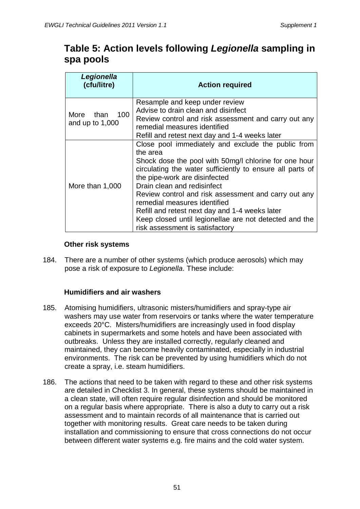#### **Table 5: Action levels following** *Legionella* **sampling in spa pools**

| Legionella<br>(cfu/litre)             | <b>Action required</b>                                                                                                                                                                                                                                                                                                                                                                                                                                                                      |  |
|---------------------------------------|---------------------------------------------------------------------------------------------------------------------------------------------------------------------------------------------------------------------------------------------------------------------------------------------------------------------------------------------------------------------------------------------------------------------------------------------------------------------------------------------|--|
| More than<br>100<br>and up to $1,000$ | Resample and keep under review<br>Advise to drain clean and disinfect<br>Review control and risk assessment and carry out any<br>remedial measures identified<br>Refill and retest next day and 1-4 weeks later                                                                                                                                                                                                                                                                             |  |
| More than 1,000                       | Close pool immediately and exclude the public from<br>the area<br>Shock dose the pool with 50mg/l chlorine for one hour<br>circulating the water sufficiently to ensure all parts of<br>the pipe-work are disinfected<br>Drain clean and redisinfect<br>Review control and risk assessment and carry out any<br>remedial measures identified<br>Refill and retest next day and 1-4 weeks later<br>Keep closed until legionellae are not detected and the<br>risk assessment is satisfactory |  |

#### **Other risk systems**

184. There are a number of other systems (which produce aerosols) which may pose a risk of exposure to *Legionella*. These include:

#### **Humidifiers and air washers**

- 185. Atomising humidifiers, ultrasonic misters/humidifiers and spray-type air washers may use water from reservoirs or tanks where the water temperature exceeds 20°C. Misters/humidifiers are increasingly used in food display cabinets in supermarkets and some hotels and have been associated with outbreaks. Unless they are installed correctly, regularly cleaned and maintained, they can become heavily contaminated, especially in industrial environments. The risk can be prevented by using humidifiers which do not create a spray, i.e. steam humidifiers.
- 186. The actions that need to be taken with regard to these and other risk systems are detailed in Checklist 3. In general, these systems should be maintained in a clean state, will often require regular disinfection and should be monitored on a regular basis where appropriate. There is also a duty to carry out a risk assessment and to maintain records of all maintenance that is carried out together with monitoring results. Great care needs to be taken during installation and commissioning to ensure that cross connections do not occur between different water systems e.g. fire mains and the cold water system.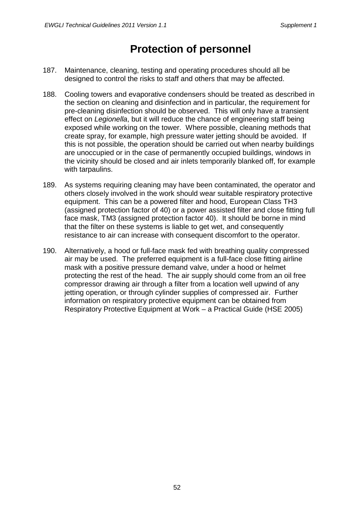# **Protection of personnel**

- 187. Maintenance, cleaning, testing and operating procedures should all be designed to control the risks to staff and others that may be affected.
- 188. Cooling towers and evaporative condensers should be treated as described in the section on cleaning and disinfection and in particular, the requirement for pre-cleaning disinfection should be observed. This will only have a transient effect on *Legionella*, but it will reduce the chance of engineering staff being exposed while working on the tower. Where possible, cleaning methods that create spray, for example, high pressure water jetting should be avoided. If this is not possible, the operation should be carried out when nearby buildings are unoccupied or in the case of permanently occupied buildings, windows in the vicinity should be closed and air inlets temporarily blanked off, for example with tarpaulins.
- 189. As systems requiring cleaning may have been contaminated, the operator and others closely involved in the work should wear suitable respiratory protective equipment. This can be a powered filter and hood, European Class TH3 (assigned protection factor of 40) or a power assisted filter and close fitting full face mask, TM3 (assigned protection factor 40). It should be borne in mind that the filter on these systems is liable to get wet, and consequently resistance to air can increase with consequent discomfort to the operator.
- 190. Alternatively, a hood or full-face mask fed with breathing quality compressed air may be used. The preferred equipment is a full-face close fitting airline mask with a positive pressure demand valve, under a hood or helmet protecting the rest of the head. The air supply should come from an oil free compressor drawing air through a filter from a location well upwind of any jetting operation, or through cylinder supplies of compressed air. Further information on respiratory protective equipment can be obtained from Respiratory Protective Equipment at Work – a Practical Guide (HSE 2005)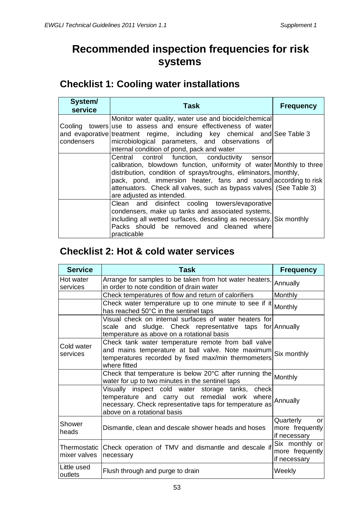# **Recommended inspection frequencies for risk systems**

### **Checklist 1: Cooling water installations**

| System/<br>service | Task                                                                                                                                                                                                                                                                                                                                                           | <b>Frequency</b> |
|--------------------|----------------------------------------------------------------------------------------------------------------------------------------------------------------------------------------------------------------------------------------------------------------------------------------------------------------------------------------------------------------|------------------|
| condensers         | Monitor water quality, water use and biocide/chemical<br>Cooling towers use to assess and ensure effectiveness of water<br>and evaporative treatment regime, including key chemical and See Table 3<br>microbiological parameters, and observations of<br>internal condition of pond, pack and water                                                           |                  |
|                    | Central control function, conductivity sensor<br>calibration, blowdown function, uniformity of water Monthly to three<br>distribution, condition of sprays/troughs, eliminators, monthly,<br>pack, pond, immersion heater, fans and sound according to risk<br>attenuators. Check all valves, such as bypass valves (See Table 3)<br>are adjusted as intended. |                  |
|                    | Clean and disinfect cooling towers/evaporative<br>condensers, make up tanks and associated systems,<br>including all wetted surfaces, descaling as necessary. Six monthly<br>Packs should be removed and cleaned where<br>practicable                                                                                                                          |                  |

# **Checklist 2: Hot & cold water services**

| <b>Service</b>               | <b>Task</b>                                                                                                                                                                                 | <b>Frequency</b>                                   |
|------------------------------|---------------------------------------------------------------------------------------------------------------------------------------------------------------------------------------------|----------------------------------------------------|
| Hot water<br>services        | Arrange for samples to be taken from hot water heaters,<br>in order to note condition of drain water                                                                                        | Annually                                           |
|                              | Check temperatures of flow and return of calorifiers                                                                                                                                        | <b>Monthly</b>                                     |
|                              | Check water temperature up to one minute to see if it<br>has reached 50°C in the sentinel taps                                                                                              | Monthly                                            |
|                              | Visual check on internal surfaces of water heaters for<br>sludge. Check representative taps<br>scale and<br>temperature as above on a rotational basis                                      | for Annually                                       |
| Cold water<br>services       | Check tank water temperature remote from ball valve<br>and mains temperature at ball valve. Note maximum Six monthly<br>temperatures recorded by fixed max/min thermometers<br>where fitted |                                                    |
|                              | Check that temperature is below 20°C after running the Monthly<br>water for up to two minutes in the sentinel taps                                                                          |                                                    |
|                              | Visually inspect cold water storage tanks, check<br>temperature and carry out remedial work where<br>necessary. Check representative taps for temperature as<br>above on a rotational basis | Annually                                           |
| Shower<br>heads              | Dismantle, clean and descale shower heads and hoses                                                                                                                                         | Quarterly<br>or<br>more frequently<br>if necessary |
| Thermostatic<br>mixer valves | Check operation of TMV and dismantle and descale if<br>necessary                                                                                                                            | Six monthly or<br>more frequently<br>if necessary  |
| Little used<br>outlets       | Flush through and purge to drain                                                                                                                                                            | Weekly                                             |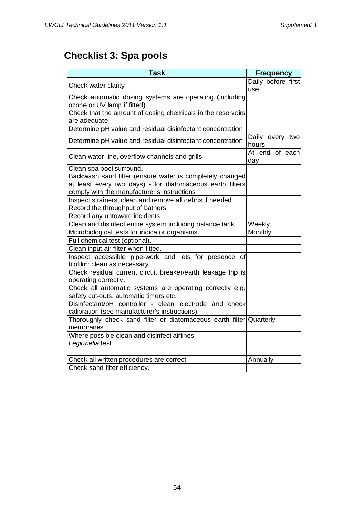# **Checklist 3: Spa pools**

| <b>Task</b>                                                                                                                                                          | <b>Frequency</b>          |
|----------------------------------------------------------------------------------------------------------------------------------------------------------------------|---------------------------|
| Check water clarity                                                                                                                                                  | Daily before first<br>use |
| Check automatic dosing systems are operating (including<br>ozone or UV lamp if fitted).                                                                              |                           |
| Check that the amount of dosing chemicals in the reservoirs<br>are adequate                                                                                          |                           |
| Determine pH value and residual disinfectant concentration                                                                                                           |                           |
| Determine pH value and residual disinfectant concentration                                                                                                           | Daily every two<br>hours  |
| Clean water-line, overflow channels and grills                                                                                                                       | At end of each<br>day     |
| Clean spa pool surround.                                                                                                                                             |                           |
| Backwash sand filter (ensure water is completely changed<br>at least every two days) - for diatomaceous earth filters<br>comply with the manufacturer's instructions |                           |
| Inspect strainers, clean and remove all debris if needed                                                                                                             |                           |
| Record the throughput of bathers                                                                                                                                     |                           |
| Record any untoward incidents                                                                                                                                        |                           |
| Clean and disinfect entire system including balance tank.                                                                                                            | Weekly                    |
| Microbiological tests for indicator organisms.                                                                                                                       | Monthly                   |
| Full chemical test (optional).                                                                                                                                       |                           |
| Clean input air filter when fitted.                                                                                                                                  |                           |
| Inspect accessible pipe-work and jets for presence of<br>biofilm; clean as necessary.                                                                                |                           |
| Check residual current circuit breaker/earth leakage trip is<br>operating correctly.                                                                                 |                           |
| Check all automatic systems are operating correctly e.g.<br>safety cut-outs, automatic timers etc.                                                                   |                           |
| Disinfectant/pH controller - clean electrode and check<br>calibration (see manufacturer's instructions).                                                             |                           |
| Thoroughly check sand filter or diatomaceous earth filter Quarterly<br>membranes.                                                                                    |                           |
| Where possible clean and disinfect airlines.                                                                                                                         |                           |
| Legionella test                                                                                                                                                      |                           |
| Check all written procedures are correct                                                                                                                             | Annually                  |
| Check sand filter efficiency.                                                                                                                                        |                           |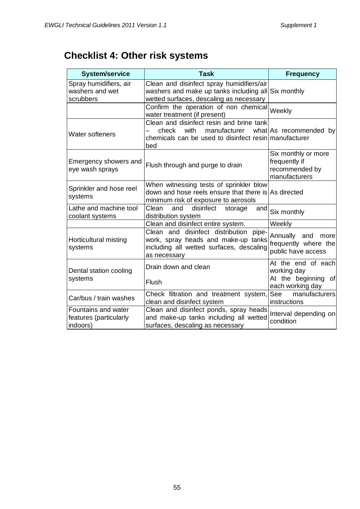# **Checklist 4: Other risk systems**

| <b>System/service</b>                                     | <b>Task</b>                                                                                                                                  | <b>Frequency</b>                                                        |
|-----------------------------------------------------------|----------------------------------------------------------------------------------------------------------------------------------------------|-------------------------------------------------------------------------|
| Spray humidifiers, air<br>washers and wet<br>scrubbers    | Clean and disinfect spray humidifiers/air<br>washers and make up tanks including all Six monthly<br>wetted surfaces, descaling as necessary  |                                                                         |
|                                                           | Confirm the operation of non chemical<br>water treatment (if present)                                                                        | Weekly                                                                  |
| <b>Water softeners</b>                                    | Clean and disinfect resin and brine tank<br>manufacturer<br>with<br>check<br>chemicals can be used to disinfect resin manufacturer<br>bed    | what As recommended by                                                  |
| Emergency showers and<br>eye wash sprays                  | Flush through and purge to drain                                                                                                             | Six monthly or more<br>frequently if<br>recommended by<br>manufacturers |
| Sprinkler and hose reel<br>systems                        | When witnessing tests of sprinkler blow<br>down and hose reels ensure that there is As directed<br>minimum risk of exposure to aerosols      |                                                                         |
| Lathe and machine tool<br>coolant systems                 | Clean<br>disinfect<br>and<br>storage<br>andl<br>distribution system                                                                          | Six monthly                                                             |
|                                                           | Clean and disinfect entire system.                                                                                                           | Weekly                                                                  |
| Horticultural misting<br>systems                          | Clean and disinfect distribution<br>pipe-<br>work, spray heads and make-up tanks<br>including all wetted surfaces, descaling<br>as necessary | Annually and<br>more<br>frequently where the<br>public have access      |
| Dental station cooling                                    | Drain down and clean                                                                                                                         | At the end of each<br>working day                                       |
| systems                                                   | Flush                                                                                                                                        | At the beginning of<br>each working day                                 |
| Car/bus / train washes                                    | Check filtration and treatment system,<br>clean and disinfect system                                                                         | See<br>manufacturers<br>instructions                                    |
| Fountains and water<br>features (particularly<br>indoors) | Clean and disinfect ponds, spray heads<br>and make-up tanks including all wetted<br>surfaces, descaling as necessary                         | Interval depending on<br>condition                                      |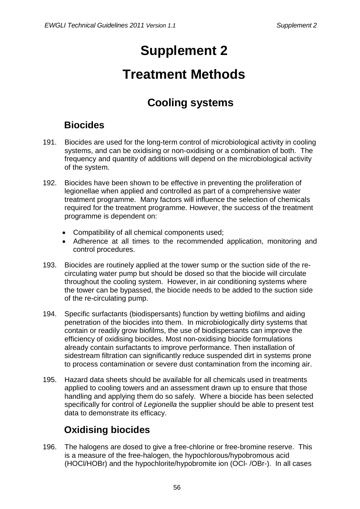# **Supplement 2**

# **Treatment Methods**

# **Cooling systems**

# **Biocides**

- 191. Biocides are used for the long-term control of microbiological activity in cooling systems, and can be oxidising or non-oxidising or a combination of both. The frequency and quantity of additions will depend on the microbiological activity of the system.
- 192. Biocides have been shown to be effective in preventing the proliferation of legionellae when applied and controlled as part of a comprehensive water treatment programme. Many factors will influence the selection of chemicals required for the treatment programme. However, the success of the treatment programme is dependent on:
	- Compatibility of all chemical components used;
	- Adherence at all times to the recommended application, monitoring and control procedures.
- 193. Biocides are routinely applied at the tower sump or the suction side of the recirculating water pump but should be dosed so that the biocide will circulate throughout the cooling system. However, in air conditioning systems where the tower can be bypassed, the biocide needs to be added to the suction side of the re-circulating pump.
- 194. Specific surfactants (biodispersants) function by wetting biofilms and aiding penetration of the biocides into them. In microbiologically dirty systems that contain or readily grow biofilms, the use of biodispersants can improve the efficiency of oxidising biocides. Most non-oxidising biocide formulations already contain surfactants to improve performance. Then installation of sidestream filtration can significantly reduce suspended dirt in systems prone to process contamination or severe dust contamination from the incoming air.
- 195. Hazard data sheets should be available for all chemicals used in treatments applied to cooling towers and an assessment drawn up to ensure that those handling and applying them do so safely. Where a biocide has been selected specifically for control of *Legionella* the supplier should be able to present test data to demonstrate its efficacy.

# **Oxidising biocides**

196. The halogens are dosed to give a free-chlorine or free-bromine reserve. This is a measure of the free-halogen, the hypochlorous/hypobromous acid (HOCl/HOBr) and the hypochlorite/hypobromite ion (OCl- /OBr-). In all cases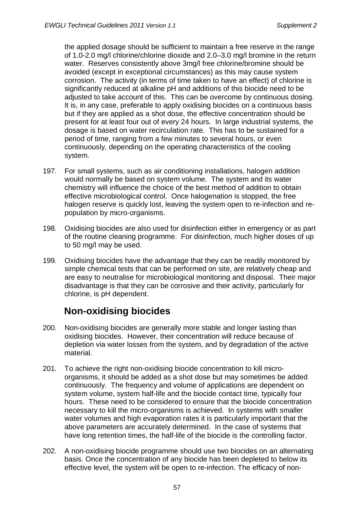the applied dosage should be sufficient to maintain a free reserve in the range of 1.0-2.0 mg/l chlorine/chlorine dioxide and 2.0–3.0 mg/l bromine in the return water. Reserves consistently above 3mg/l free chlorine/bromine should be avoided (except in exceptional circumstances) as this may cause system corrosion. The activity (in terms of time taken to have an effect) of chlorine is significantly reduced at alkaline pH and additions of this biocide need to be adjusted to take account of this. This can be overcome by continuous dosing. It is, in any case, preferable to apply oxidising biocides on a continuous basis but if they are applied as a shot dose, the effective concentration should be present for at least four out of every 24 hours. In large industrial systems, the dosage is based on water recirculation rate. This has to be sustained for a period of time, ranging from a few minutes to several hours, or even continuously, depending on the operating characteristics of the cooling system.

- 197. For small systems, such as air conditioning installations, halogen addition would normally be based on system volume. The system and its water chemistry will influence the choice of the best method of addition to obtain effective microbiological control. Once halogenation is stopped, the free halogen reserve is quickly lost, leaving the system open to re-infection and repopulation by micro-organisms.
- 198. Oxidising biocides are also used for disinfection either in emergency or as part of the routine cleaning programme. For disinfection, much higher doses of up to 50 mg/l may be used.
- 199. Oxidising biocides have the advantage that they can be readily monitored by simple chemical tests that can be performed on site, are relatively cheap and are easy to neutralise for microbiological monitoring and disposal. Their major disadvantage is that they can be corrosive and their activity, particularly for chlorine, is pH dependent.

### **Non-oxidising biocides**

- 200. Non-oxidising biocides are generally more stable and longer lasting than oxidising biocides. However, their concentration will reduce because of depletion via water losses from the system, and by degradation of the active material.
- 201. To achieve the right non-oxidising biocide concentration to kill microorganisms, it should be added as a shot dose but may sometimes be added continuously. The frequency and volume of applications are dependent on system volume, system half-life and the biocide contact time, typically four hours. These need to be considered to ensure that the biocide concentration necessary to kill the micro-organisms is achieved. In systems with smaller water volumes and high evaporation rates it is particularly important that the above parameters are accurately determined. In the case of systems that have long retention times, the half-life of the biocide is the controlling factor.
- 202. A non-oxidising biocide programme should use two biocides on an alternating basis. Once the concentration of any biocide has been depleted to below its effective level, the system will be open to re-infection. The efficacy of non-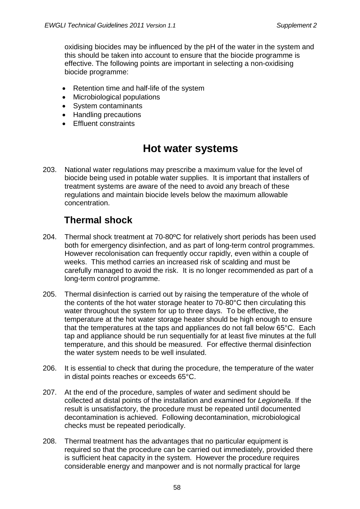oxidising biocides may be influenced by the pH of the water in the system and this should be taken into account to ensure that the biocide programme is effective. The following points are important in selecting a non-oxidising biocide programme:

- Retention time and half-life of the system
- Microbiological populations
- System contaminants
- Handling precautions
- Effluent constraints

# **Hot water systems**

203. National water regulations may prescribe a maximum value for the level of biocide being used in potable water supplies. It is important that installers of treatment systems are aware of the need to avoid any breach of these regulations and maintain biocide levels below the maximum allowable concentration.

### **Thermal shock**

- 204. Thermal shock treatment at 70-80ºC for relatively short periods has been used both for emergency disinfection, and as part of long-term control programmes. However recolonisation can frequently occur rapidly, even within a couple of weeks. This method carries an increased risk of scalding and must be carefully managed to avoid the risk. It is no longer recommended as part of a long-term control programme.
- 205. Thermal disinfection is carried out by raising the temperature of the whole of the contents of the hot water storage heater to 70-80°C then circulating this water throughout the system for up to three days. To be effective, the temperature at the hot water storage heater should be high enough to ensure that the temperatures at the taps and appliances do not fall below 65°C. Each tap and appliance should be run sequentially for at least five minutes at the full temperature, and this should be measured. For effective thermal disinfection the water system needs to be well insulated.
- 206. It is essential to check that during the procedure, the temperature of the water in distal points reaches or exceeds 65°C.
- 207. At the end of the procedure, samples of water and sediment should be collected at distal points of the installation and examined for *Legionella*. If the result is unsatisfactory, the procedure must be repeated until documented decontamination is achieved. Following decontamination, microbiological checks must be repeated periodically.
- 208. Thermal treatment has the advantages that no particular equipment is required so that the procedure can be carried out immediately, provided there is sufficient heat capacity in the system. However the procedure requires considerable energy and manpower and is not normally practical for large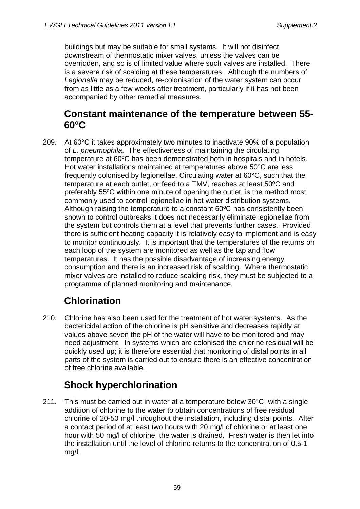buildings but may be suitable for small systems. It will not disinfect downstream of thermostatic mixer valves, unless the valves can be overridden, and so is of limited value where such valves are installed. There is a severe risk of scalding at these temperatures. Although the numbers of *Legionella* may be reduced, re-colonisation of the water system can occur from as little as a few weeks after treatment, particularly if it has not been accompanied by other remedial measures.

#### **Constant maintenance of the temperature between 55- 60°C**

209. At 60°C it takes approximately two minutes to inactivate 90% of a population of *L. pneumophila*. The effectiveness of maintaining the circulating temperature at 60ºC has been demonstrated both in hospitals and in hotels. Hot water installations maintained at temperatures above 50°C are less frequently colonised by legionellae. Circulating water at 60°C, such that the temperature at each outlet, or feed to a TMV, reaches at least 50ºC and preferably 55ºC within one minute of opening the outlet, is the method most commonly used to control legionellae in hot water distribution systems. Although raising the temperature to a constant 60ºC has consistently been shown to control outbreaks it does not necessarily eliminate legionellae from the system but controls them at a level that prevents further cases. Provided there is sufficient heating capacity it is relatively easy to implement and is easy to monitor continuously. It is important that the temperatures of the returns on each loop of the system are monitored as well as the tap and flow temperatures. It has the possible disadvantage of increasing energy consumption and there is an increased risk of scalding. Where thermostatic mixer valves are installed to reduce scalding risk, they must be subjected to a programme of planned monitoring and maintenance.

# **Chlorination**

210. Chlorine has also been used for the treatment of hot water systems. As the bactericidal action of the chlorine is pH sensitive and decreases rapidly at values above seven the pH of the water will have to be monitored and may need adjustment. In systems which are colonised the chlorine residual will be quickly used up; it is therefore essential that monitoring of distal points in all parts of the system is carried out to ensure there is an effective concentration of free chlorine available.

# **Shock hyperchlorination**

211. This must be carried out in water at a temperature below 30°C, with a single addition of chlorine to the water to obtain concentrations of free residual chlorine of 20-50 mg/l throughout the installation, including distal points. After a contact period of at least two hours with 20 mg/l of chlorine or at least one hour with 50 mg/l of chlorine, the water is drained. Fresh water is then let into the installation until the level of chlorine returns to the concentration of 0.5-1 mg/l.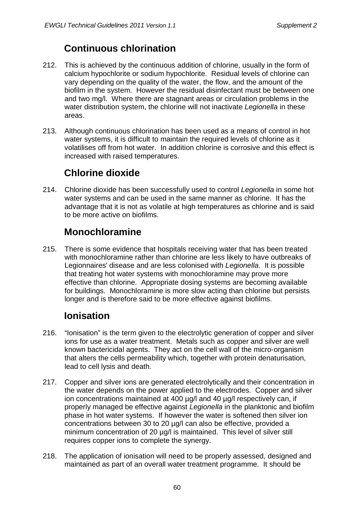### **Continuous chlorination**

- 212. This is achieved by the continuous addition of chlorine, usually in the form of calcium hypochlorite or sodium hypochlorite. Residual levels of chlorine can vary depending on the quality of the water, the flow, and the amount of the biofilm in the system. However the residual disinfectant must be between one and two mg/l. Where there are stagnant areas or circulation problems in the water distribution system, the chlorine will not inactivate *Legionella* in these areas.
- 213. Although continuous chlorination has been used as a means of control in hot water systems, it is difficult to maintain the required levels of chlorine as it volatilises off from hot water. In addition chlorine is corrosive and this effect is increased with raised temperatures.

# **Chlorine dioxide**

214. Chlorine dioxide has been successfully used to control *Legionella* in some hot water systems and can be used in the same manner as chlorine. It has the advantage that it is not as volatile at high temperatures as chlorine and is said to be more active on biofilms.

### **Monochloramine**

215. There is some evidence that hospitals receiving water that has been treated with monochloramine rather than chlorine are less likely to have outbreaks of Legionnaires' disease and are less colonised with *Legionella*. It is possible that treating hot water systems with monochloramine may prove more effective than chlorine. Appropriate dosing systems are becoming available for buildings. Monochloramine is more slow acting than chlorine but persists longer and is therefore said to be more effective against biofilms.

### **Ionisation**

- 216. "Ionisation" is the term given to the electrolytic generation of copper and silver ions for use as a water treatment. Metals such as copper and silver are well known bactericidal agents. They act on the cell wall of the micro-organism that alters the cells permeability which, together with protein denaturisation, lead to cell lysis and death.
- 217. Copper and silver ions are generated electrolytically and their concentration in the water depends on the power applied to the electrodes. Copper and silver ion concentrations maintained at 400 µg/l and 40 µg/l respectively can, if properly managed be effective against *Legionella* in the planktonic and biofilm phase in hot water systems. If however the water is softened then silver ion concentrations between 30 to 20 µg/l can also be effective, provided a minimum concentration of 20 µg/l is maintained. This level of silver still requires copper ions to complete the synergy.
- 218. The application of ionisation will need to be properly assessed, designed and maintained as part of an overall water treatment programme. It should be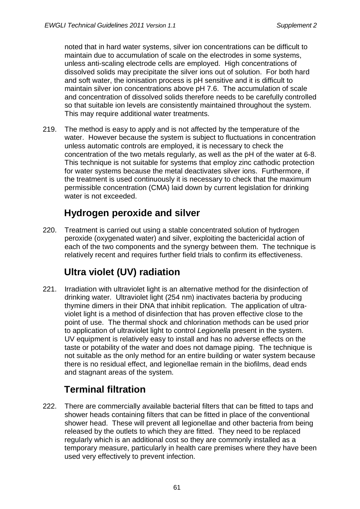noted that in hard water systems, silver ion concentrations can be difficult to maintain due to accumulation of scale on the electrodes in some systems, unless anti-scaling electrode cells are employed. High concentrations of dissolved solids may precipitate the silver ions out of solution. For both hard and soft water, the ionisation process is pH sensitive and it is difficult to maintain silver ion concentrations above pH 7.6. The accumulation of scale and concentration of dissolved solids therefore needs to be carefully controlled so that suitable ion levels are consistently maintained throughout the system. This may require additional water treatments.

219. The method is easy to apply and is not affected by the temperature of the water. However because the system is subject to fluctuations in concentration unless automatic controls are employed, it is necessary to check the concentration of the two metals regularly, as well as the pH of the water at 6-8. This technique is not suitable for systems that employ zinc cathodic protection for water systems because the metal deactivates silver ions. Furthermore, if the treatment is used continuously it is necessary to check that the maximum permissible concentration (CMA) laid down by current legislation for drinking water is not exceeded.

### **Hydrogen peroxide and silver**

220. Treatment is carried out using a stable concentrated solution of hydrogen peroxide (oxygenated water) and silver, exploiting the bactericidal action of each of the two components and the synergy between them. The technique is relatively recent and requires further field trials to confirm its effectiveness.

# **Ultra violet (UV) radiation**

221. Irradiation with ultraviolet light is an alternative method for the disinfection of drinking water. Ultraviolet light (254 nm) inactivates bacteria by producing thymine dimers in their DNA that inhibit replication. The application of ultraviolet light is a method of disinfection that has proven effective close to the point of use. The thermal shock and chlorination methods can be used prior to application of ultraviolet light to control *Legionella* present in the system. UV equipment is relatively easy to install and has no adverse effects on the taste or potability of the water and does not damage piping. The technique is not suitable as the only method for an entire building or water system because there is no residual effect, and legionellae remain in the biofilms, dead ends and stagnant areas of the system.

# **Terminal filtration**

222. There are commercially available bacterial filters that can be fitted to taps and shower heads containing filters that can be fitted in place of the conventional shower head. These will prevent all legionellae and other bacteria from being released by the outlets to which they are fitted. They need to be replaced regularly which is an additional cost so they are commonly installed as a temporary measure, particularly in health care premises where they have been used very effectively to prevent infection.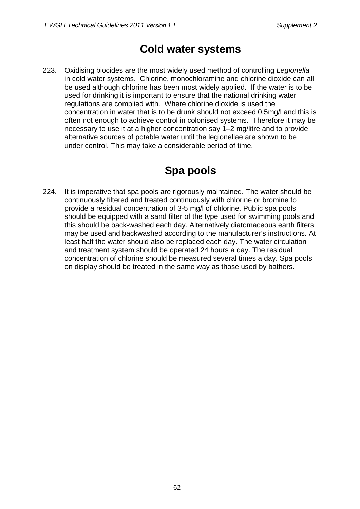### **Cold water systems**

223. Oxidising biocides are the most widely used method of controlling *Legionella* in cold water systems. Chlorine, monochloramine and chlorine dioxide can all be used although chlorine has been most widely applied. If the water is to be used for drinking it is important to ensure that the national drinking water regulations are complied with. Where chlorine dioxide is used the concentration in water that is to be drunk should not exceed 0.5mg/l and this is often not enough to achieve control in colonised systems. Therefore it may be necessary to use it at a higher concentration say 1–2 mg/litre and to provide alternative sources of potable water until the legionellae are shown to be under control. This may take a considerable period of time.

# **Spa pools**

224. It is imperative that spa pools are rigorously maintained. The water should be continuously filtered and treated continuously with chlorine or bromine to provide a residual concentration of 3-5 mg/l of chlorine. Public spa pools should be equipped with a sand filter of the type used for swimming pools and this should be back-washed each day. Alternatively diatomaceous earth filters may be used and backwashed according to the manufacturer's instructions. At least half the water should also be replaced each day. The water circulation and treatment system should be operated 24 hours a day. The residual concentration of chlorine should be measured several times a day. Spa pools on display should be treated in the same way as those used by bathers.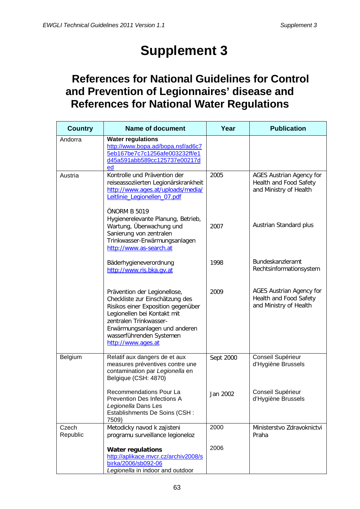# **Supplement 3**

# **References for National Guidelines for Control and Prevention of Legionnaires' disease and References for National Water Regulations**

| <b>Country</b>    | <b>Name of document</b>                                                                                                                                                                                                                           | Year      | <b>Publication</b>                                                                  |
|-------------------|---------------------------------------------------------------------------------------------------------------------------------------------------------------------------------------------------------------------------------------------------|-----------|-------------------------------------------------------------------------------------|
| Andorra           | <b>Water regulations</b><br>http://www.bopa.ad/bopa.nsf/ad6c7<br>5eb167be7c7c1256afe003232ff/e1<br>d45a591abb589cc125737e00217d<br>ed                                                                                                             |           |                                                                                     |
| Austria           | Kontrolle und Prävention der<br>reiseassoziierten Legionärskrankheit<br>http://www.aqes.at/uploads/media/<br>Leitlinie_Legionellen_07.pdf                                                                                                         | 2005      | <b>AGES Austrian Agency for</b><br>Health and Food Safety<br>and Ministry of Health |
|                   | ÖNORM B 5019<br>Hygienerelevante Planung, Betrieb,<br>Wartung, Überwachung und<br>Sanierung von zentralen<br>Trinkwasser-Erwärmungsanlagen<br>http://www.as-search.at                                                                             | 2007      | Austrian Standard plus                                                              |
|                   | Bäderhygieneverordnung<br>http://www.ris.bka.qv.at                                                                                                                                                                                                | 1998      | Bundeskanzleramt<br>Rechtsinformationsystem                                         |
|                   | Prävention der Legionellose,<br>Checkliste zur Einschätzung des<br>Risikos einer Exposition gegenüber<br>Legionellen bei Kontakt mit<br>zentralen Trinkwasser-<br>Erwärmungsanlagen und anderen<br>wasserführenden Systemen<br>http://www.ages.at | 2009      | <b>AGES Austrian Agency for</b><br>Health and Food Safety<br>and Ministry of Health |
| Belgium           | Relatif aux dangers de et aux<br>measures préventives contre une<br>contamination par Legionella en<br>Belgique (CSH: 4870)                                                                                                                       | Sept 2000 | Conseil Supérieur<br>d'Hygiène Brussels                                             |
|                   | Recommendations Pour La<br>Prevention Des Infections A<br>Legionella Dans Les<br>Establishments De Soins (CSH:<br>7509)                                                                                                                           | Jan 2002  | Conseil Supérieur<br>d'Hygiène Brussels                                             |
| Czech<br>Republic | Metodicky navod k zajisteni<br>programu surveillance legioneloz                                                                                                                                                                                   | 2000      | Ministerstvo Zdravoknictvi<br>Praha                                                 |
|                   | <b>Water regulations</b><br>http://aplikace.mvcr.cz/archiv2008/s<br>birka/2006/sb092-06<br>Legionella in indoor and outdoor                                                                                                                       | 2006      |                                                                                     |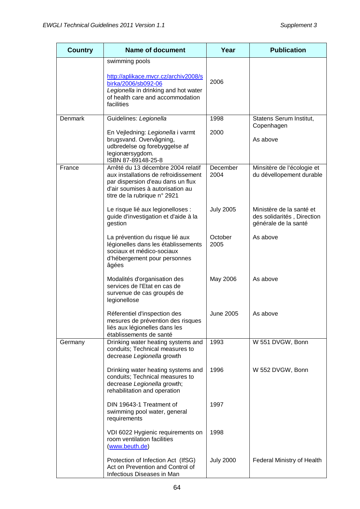| <b>Country</b> | <b>Name of document</b>                                                                                                                                                             | Year             | <b>Publication</b>                                                             |
|----------------|-------------------------------------------------------------------------------------------------------------------------------------------------------------------------------------|------------------|--------------------------------------------------------------------------------|
|                | swimming pools<br>http://aplikace.mvcr.cz/archiv2008/s<br>birka/2006/sb092-06                                                                                                       | 2006             |                                                                                |
|                | Legionella in drinking and hot water<br>of health care and accommodation<br>facilities                                                                                              |                  |                                                                                |
| Denmark        | Guidelines: Legionella                                                                                                                                                              | 1998             | Statens Serum Institut,                                                        |
|                | En Vejledning: Legionella i varmt<br>brugsvand. Overvågning,<br>udbredelse og forebyggelse af<br>legionærsygdom.<br>ISBN 87-89148-25-8                                              | 2000             | Copenhagen<br>As above                                                         |
| France         | Arrêté du 13 décembre 2004 relatif<br>aux installations de refroidissement<br>par dispersion d'eau dans un flux<br>d'air soumises à autorisation au<br>titre de la rubrique n° 2921 | December<br>2004 | Minsitère de l'écologie et<br>du dévellopement durable                         |
|                | Le risque lié aux legionelloses :<br>guide d'investigation et d'aide à la<br>gestion                                                                                                | <b>July 2005</b> | Ministère de la santé et<br>des solidarités, Direction<br>générale de la santé |
|                | La prévention du risque lié aux<br>légionelles dans les établissements<br>sociaux et médico-sociaux<br>d'hébergement pour personnes<br>âgées                                        | October<br>2005  | As above                                                                       |
|                | Modalités d'organisation des<br>services de l'Etat en cas de<br>survenue de cas groupés de<br>legionellose                                                                          | May 2006         | As above                                                                       |
|                | Réferentiel d'inspection des<br>mesures de prévention des risques<br>liés aux légionelles dans les<br>établissements de santé                                                       | June 2005        | As above                                                                       |
| Germany        | Drinking water heating systems and<br>conduits; Technical measures to<br>decrease Legionella growth                                                                                 | 1993             | W 551 DVGW, Bonn                                                               |
|                | Drinking water heating systems and<br>conduits; Technical measures to<br>decrease Legionella growth;<br>rehabilitation and operation                                                | 1996             | W 552 DVGW, Bonn                                                               |
|                | DIN 19643-1 Treatment of<br>swimming pool water, general<br>requirements                                                                                                            | 1997             |                                                                                |
|                | VDI 6022 Hygienic requirements on<br>room ventilation facilities<br>(www.beuth.de)                                                                                                  | 1998             |                                                                                |
|                | Protection of Infection Act (IfSG)<br>Act on Prevention and Control of<br>Infectious Diseases in Man                                                                                | <b>July 2000</b> | Federal Ministry of Health                                                     |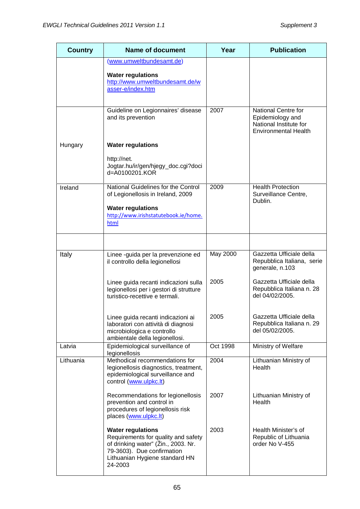| <b>Country</b> | <b>Name of document</b>                                                                                                                                                           | Year     | <b>Publication</b>                                                                               |
|----------------|-----------------------------------------------------------------------------------------------------------------------------------------------------------------------------------|----------|--------------------------------------------------------------------------------------------------|
|                | (www.umweltbundesamt.de)                                                                                                                                                          |          |                                                                                                  |
|                | <b>Water regulations</b><br>http://www.umweltbundesamt.de/w<br>asser-e/index.htm                                                                                                  |          |                                                                                                  |
|                | Guideline on Legionnaires' disease<br>and its prevention                                                                                                                          | 2007     | National Centre for<br>Epidemiology and<br>National Institute for<br><b>Environmental Health</b> |
| Hungary        | <b>Water regulations</b>                                                                                                                                                          |          |                                                                                                  |
|                | http://net.<br>Jogtar.hu/ir/gen/hjegy_doc.cgi?doci<br>d=A0100201.KOR                                                                                                              |          |                                                                                                  |
| Ireland        | National Guidelines for the Control<br>of Legionellosis in Ireland, 2009                                                                                                          | 2009     | <b>Health Protection</b><br>Surveillance Centre,<br>Dublin.                                      |
|                | <b>Water regulations</b><br>http://www.irishstatutebook.ie/home.<br>html                                                                                                          |          |                                                                                                  |
|                |                                                                                                                                                                                   |          |                                                                                                  |
| Italy          | Linee -guida per la prevenzione ed<br>il controllo della legionellosi                                                                                                             | May 2000 | Gazzetta Ufficiale della<br>Repubblica Italiana, serie<br>generale, n.103                        |
|                | Linee guida recanti indicazioni sulla<br>legionellosi per i gestori di strutture<br>turistico-recettive e termali.                                                                | 2005     | Gazzetta Ufficiale della<br>Repubblica Italiana n. 28<br>del 04/02/2005.                         |
|                | Linee guida recanti indicazioni ai<br>laboratori con attività di diagnosi<br>microbiologica e controllo<br>ambientale della legionellosi.                                         | 2005     | Gazzetta Ufficiale della<br>Repubblica Italiana n. 29<br>del 05/02/2005.                         |
| Latvia         | Epidemiological surveillance of<br>legionellosis                                                                                                                                  | Oct 1998 | Ministry of Welfare                                                                              |
| Lithuania      | Methodical recommendations for<br>legionellosis diagnostics, treatment,<br>epidemiological surveillance and<br>control (www.ulpkc.lt)                                             | 2004     | Lithuanian Ministry of<br>Health                                                                 |
|                | Recommendations for legionellosis<br>prevention and control in<br>procedures of legionellosis risk<br>places (www.ulpkc.lt)                                                       | 2007     | Lithuanian Ministry of<br>Health                                                                 |
|                | <b>Water regulations</b><br>Requirements for quality and safety<br>of drinking water" (Zin., 2003. Nr.<br>79-3603). Due confirmation<br>Lithuanian Hygiene standard HN<br>24-2003 | 2003     | Health Minister's of<br>Republic of Lithuania<br>order No V-455                                  |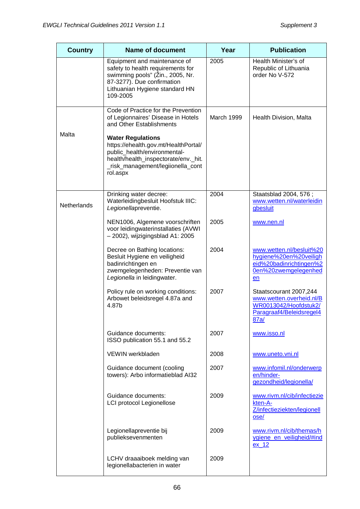| <b>Country</b> | <b>Name of document</b>                                                                                                                                                                   | Year       | <b>Publication</b>                                                                                              |
|----------------|-------------------------------------------------------------------------------------------------------------------------------------------------------------------------------------------|------------|-----------------------------------------------------------------------------------------------------------------|
|                | Equipment and maintenance of<br>safety to health requirements for<br>swimming pools" (Žin., 2005, Nr.<br>87-3277). Due confirmation<br>Lithuanian Hygiene standard HN<br>109-2005         | 2005       | Health Minister's of<br>Republic of Lithuania<br>order No V-572                                                 |
|                | Code of Practice for the Prevention<br>of Legionnaires' Disease in Hotels<br>and Other Establishments                                                                                     | March 1999 | Health Division, Malta                                                                                          |
| Malta          | <b>Water Regulations</b><br>https://ehealth.gov.mt/HealthPortal/<br>public_health/environmental-<br>health/health_inspectorate/env._hit.<br>_risk_management/legiionella_cont<br>rol.aspx |            |                                                                                                                 |
| Netherlands    | Drinking water decree:<br>Waterleidingbesluit Hoofstuk IIIC:<br>Legionellapreventie.                                                                                                      | 2004       | Staatsblad 2004, 576;<br>www.wetten.nl/waterleidin<br>gbesluit                                                  |
|                | NEN1006, Algemene voorschriften<br>voor leidingwaterinstallaties (AVWI<br>- 2002), wijzigingsblad A1: 2005                                                                                | 2005       | www.nen.nl                                                                                                      |
|                | Decree on Bathing locations:<br>Besluit Hygiene en veiligheid<br>badinrichtingen en<br>zwemgelegenheden: Preventie van<br>Legionella in leidingwater.                                     | 2004       | www.wetten.nl/besluit%20<br>hygiene%20en%20veiligh<br>eid%20badinrichtingen%2<br>0en%20zwemgelegenhed<br>en     |
|                | Policy rule on working conditions:<br>Arbowet beleidsregel 4.87a and<br>4.87b                                                                                                             | 2007       | Staatscourant 2007,244<br>www.wetten.overheid.nl/B<br>WR0013042/Hoofdstuk2/<br>Paragraaf4/Beleidsregel4<br>87a/ |
|                | Guidance documents:<br>ISSO publication 55.1 and 55.2                                                                                                                                     | 2007       | www.isso.nl                                                                                                     |
|                | VEWIN werkbladen                                                                                                                                                                          | 2008       | www.uneto.vni.nl                                                                                                |
|                | Guidance document (cooling<br>towers): Arbo informatieblad AI32                                                                                                                           | 2007       | www.infomil.nl/onderwerp<br>en/hinder-<br>gezondheid/legionella/                                                |
|                | Guidance documents:<br><b>LCI protocol Legionellose</b>                                                                                                                                   | 2009       | www.rivm.nl/cib/infectiezie<br>kten-A-<br>Z/infectieziekten/legionell<br>ose/                                   |
|                | Legionellapreventie bij<br>publieksevenmenten                                                                                                                                             | 2009       | www.rivm.nl/cib/themas/h<br>ygiene en veiligheid/#ind<br>ex 12                                                  |
|                | LCHV draaaiboek melding van<br>legionellabacterien in water                                                                                                                               | 2009       |                                                                                                                 |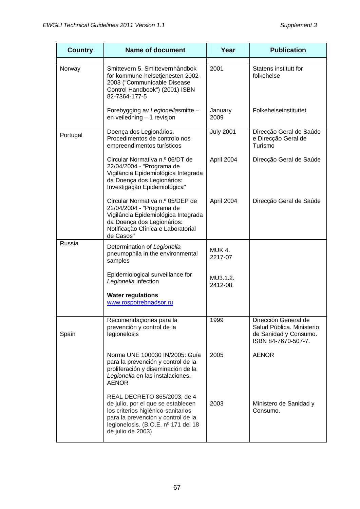| <b>Country</b> | <b>Name of document</b>                                                                                                                                                                                   | Year                 | <b>Publication</b>                                                                                |
|----------------|-----------------------------------------------------------------------------------------------------------------------------------------------------------------------------------------------------------|----------------------|---------------------------------------------------------------------------------------------------|
| Norway         | Smittevern 5. Smittevernhåndbok<br>for kommune-helsetjenesten 2002-<br>2003 ("Communicable Disease<br>Control Handbook") (2001) ISBN<br>82-7364-177-5                                                     | 2001                 | Statens institutt for<br>folkehelse                                                               |
|                | Forebygging av Legionellasmitte -<br>en veiledning - 1 revisjon                                                                                                                                           | January<br>2009      | Folkehelseinstituttet                                                                             |
| Portugal       | Doença dos Legionários.<br>Procedimentos de controlo nos<br>empreendimentos turísticos                                                                                                                    | <b>July 2001</b>     | Direcção Geral de Saúde<br>e Direcção Geral de<br>Turismo                                         |
|                | Circular Normativa n.º 06/DT de<br>22/04/2004 - "Programa de<br>Vigilância Epidemiológica Integrada<br>da Doença dos Legionários:<br>Investigação Epidemiológica"                                         | April 2004           | Direcção Geral de Saúde                                                                           |
|                | Circular Normativa n.º 05/DEP de<br>22/04/2004 - "Programa de<br>Vigilância Epidemiológica Integrada<br>da Doença dos Legionários:<br>Notificação Clínica e Laboratorial<br>de Casos"                     | April 2004           | Direcção Geral de Saúde                                                                           |
| Russia         | Determination of Legionella<br>pneumophila in the environmental<br>samples                                                                                                                                | MUK 4.<br>2217-07    |                                                                                                   |
|                | Epidemiological surveillance for<br>Legionella infection                                                                                                                                                  | MU3.1.2.<br>2412-08. |                                                                                                   |
|                | <b>Water regulations</b><br>www.rospotrebnadsor.ru                                                                                                                                                        |                      |                                                                                                   |
| Spain          | Recomendaçiones para la<br>prevención y control de la<br>legionelosis                                                                                                                                     | 1999                 | Dirección General de<br>Salud Pública. Ministerio<br>de Sanidad y Consumo.<br>ISBN 84-7670-507-7. |
|                | Norma UNE 100030 IN/2005: Guía<br>para la prevención y control de la<br>proliferación y diseminación de la<br>Legionella en las instalaciones.<br><b>AENOR</b>                                            | 2005                 | <b>AENOR</b>                                                                                      |
|                | REAL DECRETO 865/2003, de 4<br>de julio, por el que se establecen<br>los criterios higiénico-sanitarios<br>para la prevención y control de la<br>legionelosis. (B.O.E. nº 171 del 18<br>de julio de 2003) | 2003                 | Ministero de Sanidad y<br>Consumo.                                                                |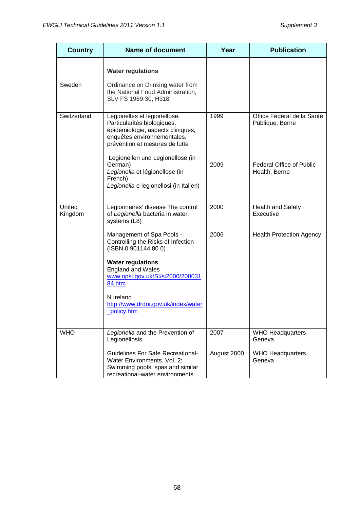| <b>Country</b>    | <b>Name of document</b>                                                                                                                                                                                                                                                                                                                                 | Year                | <b>Publication</b>                                                                                |
|-------------------|---------------------------------------------------------------------------------------------------------------------------------------------------------------------------------------------------------------------------------------------------------------------------------------------------------------------------------------------------------|---------------------|---------------------------------------------------------------------------------------------------|
| Sweden            | <b>Water regulations</b><br>Ordinance on Drinking water from<br>the National Food Administration,<br>SLV FS 1989:30, H318.                                                                                                                                                                                                                              |                     |                                                                                                   |
| Switzerland       | Légionelles et légionellose.<br>Particularités biologiques,<br>épidémiologie, aspects cliniques,<br>enquêtes environnementales,<br>prévention et mesures de lutte<br>Legionellen und Legionellose (in<br>German)<br>Legionella et légionellose (in<br>French)<br>Legionella e legionellosi (in Italien)                                                 | 1999<br>2009        | Office Fédéral de la Santé<br>Publique, Berne<br><b>Federal Office of Public</b><br>Health, Berne |
| United<br>Kingdom | Legionnaires' disease The control<br>of Legionella bacteria in water<br>systems (L8)<br>Management of Spa Pools -<br>Controlling the Risks of Infection<br>(ISBN 0 901144 80 0)<br><b>Water regulations</b><br><b>England and Wales</b><br>www.opsi.gov.uk/SI/si2000/200031<br>84.htm<br>N Ireland<br>http://www.drdni.gov.uk/index/water<br>policy.htm | 2000<br>2006        | <b>Health and Safety</b><br>Executive<br><b>Health Protection Agency</b>                          |
| <b>WHO</b>        | Legionella and the Prevention of<br>Legionellosis<br><b>Guidelines For Safe Recreational-</b><br>Water Environments, Vol. 2:<br>Swimming pools, spas and similar<br>recreational-water environments                                                                                                                                                     | 2007<br>August 2000 | <b>WHO Headquarters</b><br>Geneva<br><b>WHO Headquarters</b><br>Geneva                            |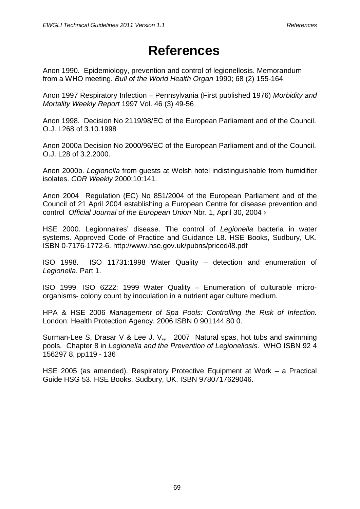## **References**

Anon 1990. Epidemiology, prevention and control of legionellosis. Memorandum from a WHO meeting. *Bull of the World Health Organ* 1990; 68 (2) 155-164.

Anon 1997 Respiratory Infection – Pennsylvania (First published 1976) *Morbidity and Mortality Weekly Report* 1997 Vol. 46 (3) 49-56

Anon 1998. Decision No 2119/98/EC of the European Parliament and of the Council. O.J. L268 of 3.10.1998

Anon 2000a Decision No 2000/96/EC of the European Parliament and of the Council. O.J. L28 of 3.2.2000.

Anon 2000b. *Legionella* from guests at Welsh hotel indistinguishable from humidifier isolates. *CDR Weekly* 2000;10:141.

Anon 2004 Regulation (EC) No 851/2004 of the European Parliament and of the Council of 21 April 2004 establishing a European Centre for disease prevention and control *Official Journal of the European Union* Nbr. 1, April 30, 2004 ›

HSE 2000. Legionnaires' disease. The control of *Legionella* bacteria in water systems. Approved Code of Practice and Guidance L8. HSE Books, Sudbury, UK. ISBN 0-7176-1772-6. http://www.hse.gov.uk/pubns/priced/l8.pdf

ISO 1998. ISO 11731:1998 Water Quality – detection and enumeration of *Legionella*. Part 1.

ISO 1999. ISO 6222: 1999 Water Quality – Enumeration of culturable microorganisms- colony count by inoculation in a nutrient agar culture medium.

HPA & HSE 2006 *Management of Spa Pools: Controlling the Risk of Infection.* London: Health Protection Agency. 2006 ISBN 0 901144 80 0.

Surman-Lee S, Drasar V & Lee J. V**.,** 2007 Natural spas, hot tubs and swimming pools. Chapter 8 in *Legionella and the Prevention of Legionellosis*. WHO ISBN 92 4 156297 8, pp119 - 136

HSE 2005 (as amended). Respiratory Protective Equipment at Work – a Practical Guide HSG 53. HSE Books, Sudbury, UK. ISBN 9780717629046.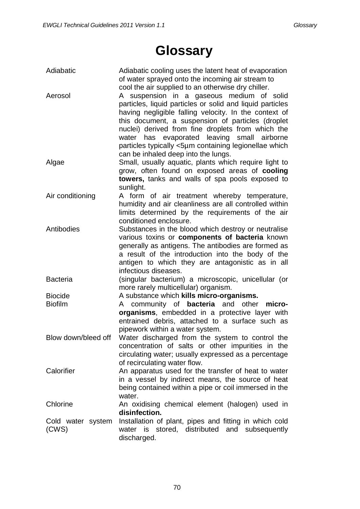## **Glossary**

| Adiabatic         | Adiabatic cooling uses the latent heat of evaporation<br>of water sprayed onto the incoming air stream to |
|-------------------|-----------------------------------------------------------------------------------------------------------|
|                   | cool the air supplied to an otherwise dry chiller.                                                        |
| Aerosol           | A suspension in a gaseous medium of solid                                                                 |
|                   | particles, liquid particles or solid and liquid particles                                                 |
|                   | having negligible falling velocity. In the context of                                                     |
|                   | this document, a suspension of particles (droplet                                                         |
|                   | nuclei) derived from fine droplets from which the                                                         |
|                   | water has evaporated leaving small airborne                                                               |
|                   | particles typically <5µm containing legionellae which                                                     |
|                   | can be inhaled deep into the lungs.                                                                       |
| Algae             | Small, usually aquatic, plants which require light to                                                     |
|                   | grow, often found on exposed areas of cooling                                                             |
|                   | towers, tanks and walls of spa pools exposed to                                                           |
|                   | sunlight.                                                                                                 |
| Air conditioning  | A form of air treatment whereby temperature,                                                              |
|                   | humidity and air cleanliness are all controlled within                                                    |
|                   | limits determined by the requirements of the air                                                          |
|                   | conditioned enclosure.                                                                                    |
| Antibodies        | Substances in the blood which destroy or neutralise                                                       |
|                   | various toxins or components of bacteria known                                                            |
|                   | generally as antigens. The antibodies are formed as                                                       |
|                   | a result of the introduction into the body of the                                                         |
|                   | antigen to which they are antagonistic as in all                                                          |
|                   | infectious diseases.                                                                                      |
| <b>Bacteria</b>   | (singular bacterium) a microscopic, unicellular (or                                                       |
|                   | more rarely multicellular) organism.                                                                      |
| <b>Biocide</b>    | A substance which kills micro-organisms.                                                                  |
| <b>Biofilm</b>    | community of <b>bacteria</b> and other<br>micro-<br>A                                                     |
|                   | organisms, embedded in a protective layer with                                                            |
|                   | entrained debris, attached to a surface such as                                                           |
|                   | pipework within a water system.                                                                           |
|                   | Blow down/bleed off  Water discharged from the system to control the                                      |
|                   | concentration of salts or other impurities in the                                                         |
|                   | circulating water; usually expressed as a percentage                                                      |
|                   | of recirculating water flow.                                                                              |
| Calorifier        | An apparatus used for the transfer of heat to water                                                       |
|                   | in a vessel by indirect means, the source of heat                                                         |
|                   | being contained within a pipe or coil immersed in the                                                     |
|                   | water.                                                                                                    |
| Chlorine          | An oxidising chemical element (halogen) used in                                                           |
|                   | disinfection.                                                                                             |
| Cold water system | Installation of plant, pipes and fitting in which cold                                                    |
| (CWS)             | water is stored, distributed and subsequently                                                             |
|                   | discharged.                                                                                               |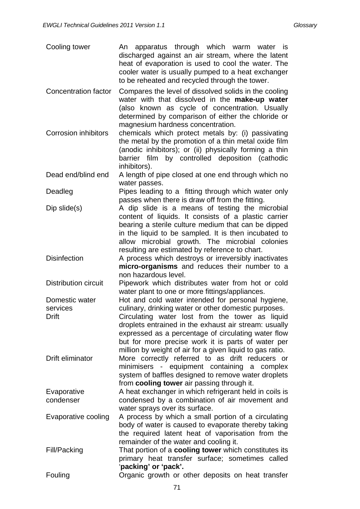| Cooling tower               | apparatus through which warm water is<br>An<br>discharged against an air stream, where the latent<br>heat of evaporation is used to cool the water. The<br>cooler water is usually pumped to a heat exchanger<br>to be reheated and recycled through the tower.                                                            |  |  |  |  |
|-----------------------------|----------------------------------------------------------------------------------------------------------------------------------------------------------------------------------------------------------------------------------------------------------------------------------------------------------------------------|--|--|--|--|
| Concentration factor        | Compares the level of dissolved solids in the cooling<br>water with that dissolved in the make-up water<br>(also known as cycle of concentration. Usually<br>determined by comparison of either the chloride or<br>magnesium hardness concentration.                                                                       |  |  |  |  |
| <b>Corrosion inhibitors</b> | chemicals which protect metals by: (i) passivating<br>the metal by the promotion of a thin metal oxide film<br>(anodic inhibitors); or (ii) physically forming a thin<br>barrier film by controlled deposition (cathodic<br>inhibitors).                                                                                   |  |  |  |  |
| Dead end/blind end          | A length of pipe closed at one end through which no<br>water passes.                                                                                                                                                                                                                                                       |  |  |  |  |
| Deadleg                     | Pipes leading to a fitting through which water only<br>passes when there is draw off from the fitting.                                                                                                                                                                                                                     |  |  |  |  |
| $Dip$ slide $(s)$           | A dip slide is a means of testing the microbial<br>content of liquids. It consists of a plastic carrier<br>bearing a sterile culture medium that can be dipped<br>in the liquid to be sampled. It is then incubated to<br>allow microbial growth. The microbial colonies<br>resulting are estimated by reference to chart. |  |  |  |  |
| <b>Disinfection</b>         | A process which destroys or irreversibly inactivates<br>micro-organisms and reduces their number to a<br>non hazardous level.                                                                                                                                                                                              |  |  |  |  |
| <b>Distribution circuit</b> | Pipework which distributes water from hot or cold<br>water plant to one or more fittings/appliances.                                                                                                                                                                                                                       |  |  |  |  |
| Domestic water              | Hot and cold water intended for personal hygiene,                                                                                                                                                                                                                                                                          |  |  |  |  |
| services                    | culinary, drinking water or other domestic purposes.                                                                                                                                                                                                                                                                       |  |  |  |  |
| <b>Drift</b>                | Circulating water lost from the tower as liquid<br>droplets entrained in the exhaust air stream: usually<br>expressed as a percentage of circulating water flow<br>but for more precise work it is parts of water per<br>million by weight of air for a given liquid to gas ratio.                                         |  |  |  |  |
| Drift eliminator            | More correctly referred to as drift reducers or<br>minimisers - equipment containing a complex<br>system of baffles designed to remove water droplets<br>from cooling tower air passing through it.                                                                                                                        |  |  |  |  |
| Evaporative<br>condenser    | A heat exchanger in which refrigerant held in coils is<br>condensed by a combination of air movement and                                                                                                                                                                                                                   |  |  |  |  |
| Evaporative cooling         | water sprays over its surface.<br>A process by which a small portion of a circulating<br>body of water is caused to evaporate thereby taking<br>the required latent heat of vaporisation from the<br>remainder of the water and cooling it.                                                                                |  |  |  |  |
| Fill/Packing                | That portion of a <b>cooling tower</b> which constitutes its<br>primary heat transfer surface; sometimes called<br>'packing' or 'pack'.                                                                                                                                                                                    |  |  |  |  |
| Fouling                     | Organic growth or other deposits on heat transfer                                                                                                                                                                                                                                                                          |  |  |  |  |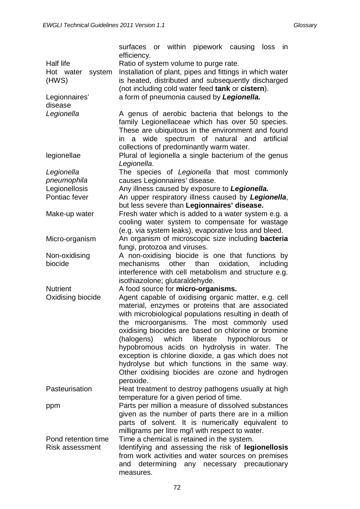|                        | surfaces or within pipework causing loss<br>efficiency.              |       |                             |            |           | in |
|------------------------|----------------------------------------------------------------------|-------|-----------------------------|------------|-----------|----|
| <b>Half life</b>       | Ratio of system volume to purge rate.                                |       |                             |            |           |    |
| Hot water<br>system    | Installation of plant, pipes and fittings in which water             |       |                             |            |           |    |
| (HWS)                  | is heated, distributed and subsequently discharged                   |       |                             |            |           |    |
|                        | (not including cold water feed tank or cistern).                     |       |                             |            |           |    |
| Legionnaires'          | a form of pneumonia caused by Legionella.                            |       |                             |            |           |    |
| disease                |                                                                      |       |                             |            |           |    |
| Legionella             | A genus of aerobic bacteria that belongs to the                      |       |                             |            |           |    |
|                        | family Legionellaceae which has over 50 species.                     |       |                             |            |           |    |
|                        | These are ubiquitous in the environment and found                    |       |                             |            |           |    |
|                        | in a wide spectrum of natural and artificial                         |       |                             |            |           |    |
|                        | collections of predominantly warm water.                             |       |                             |            |           |    |
| legionellae            | Plural of legionella a single bacterium of the genus<br>Legionella.  |       |                             |            |           |    |
| Legionella             | The species of Legionella that most commonly                         |       |                             |            |           |    |
| pneumophila            | causes Legionnaires' disease.                                        |       |                             |            |           |    |
| Legionellosis          | Any illness caused by exposure to Legionella.                        |       |                             |            |           |    |
| Pontiac fever          | An upper respiratory illness caused by Legionella,                   |       |                             |            |           |    |
|                        | but less severe than Legionnaires' disease.                          |       |                             |            |           |    |
| Make-up water          | Fresh water which is added to a water system e.g. a                  |       |                             |            |           |    |
|                        | cooling water system to compensate for wastage                       |       |                             |            |           |    |
|                        | (e.g. via system leaks), evaporative loss and bleed.                 |       |                             |            |           |    |
| Micro-organism         | An organism of microscopic size including <b>bacteria</b>            |       |                             |            |           |    |
|                        | fungi, protozoa and viruses.                                         |       |                             |            |           |    |
| Non-oxidising          | A non-oxidising biocide is one that functions by                     |       |                             |            |           |    |
| biocide                | mechanisms                                                           | other | than                        | oxidation, | including |    |
|                        | interference with cell metabolism and structure e.g.                 |       |                             |            |           |    |
| <b>Nutrient</b>        | isothiazolone; glutaraldehyde.<br>A food source for micro-organisms. |       |                             |            |           |    |
| Oxidising biocide      | Agent capable of oxidising organic matter, e.g. cell                 |       |                             |            |           |    |
|                        | material, enzymes or proteins that are associated                    |       |                             |            |           |    |
|                        | with microbiological populations resulting in death of               |       |                             |            |           |    |
|                        | the microorganisms. The most commonly used                           |       |                             |            |           |    |
|                        | oxidising biocides are based on chlorine or bromine                  |       |                             |            |           |    |
|                        | (halogens)                                                           |       | which liberate hypochlorous |            |           | or |
|                        | hypobromous acids on hydrolysis in water. The                        |       |                             |            |           |    |
|                        | exception is chlorine dioxide, a gas which does not                  |       |                             |            |           |    |
|                        | hydrolyse but which functions in the same way.                       |       |                             |            |           |    |
|                        | Other oxidising biocides are ozone and hydrogen                      |       |                             |            |           |    |
|                        | peroxide.                                                            |       |                             |            |           |    |
| Pasteurisation         | Heat treatment to destroy pathogens usually at high                  |       |                             |            |           |    |
|                        | temperature for a given period of time.                              |       |                             |            |           |    |
| ppm                    | Parts per million a measure of dissolved substances                  |       |                             |            |           |    |
|                        | given as the number of parts there are in a million                  |       |                             |            |           |    |
|                        | parts of solvent. It is numerically equivalent to                    |       |                             |            |           |    |
|                        | milligrams per litre mg/l with respect to water.                     |       |                             |            |           |    |
| Pond retention time    | Time a chemical is retained in the system.                           |       |                             |            |           |    |
| <b>Risk assessment</b> | Identifying and assessing the risk of legionellosis                  |       |                             |            |           |    |
|                        | from work activities and water sources on premises                   |       |                             |            |           |    |
|                        | and determining any necessary precautionary                          |       |                             |            |           |    |
|                        | measures.                                                            |       |                             |            |           |    |